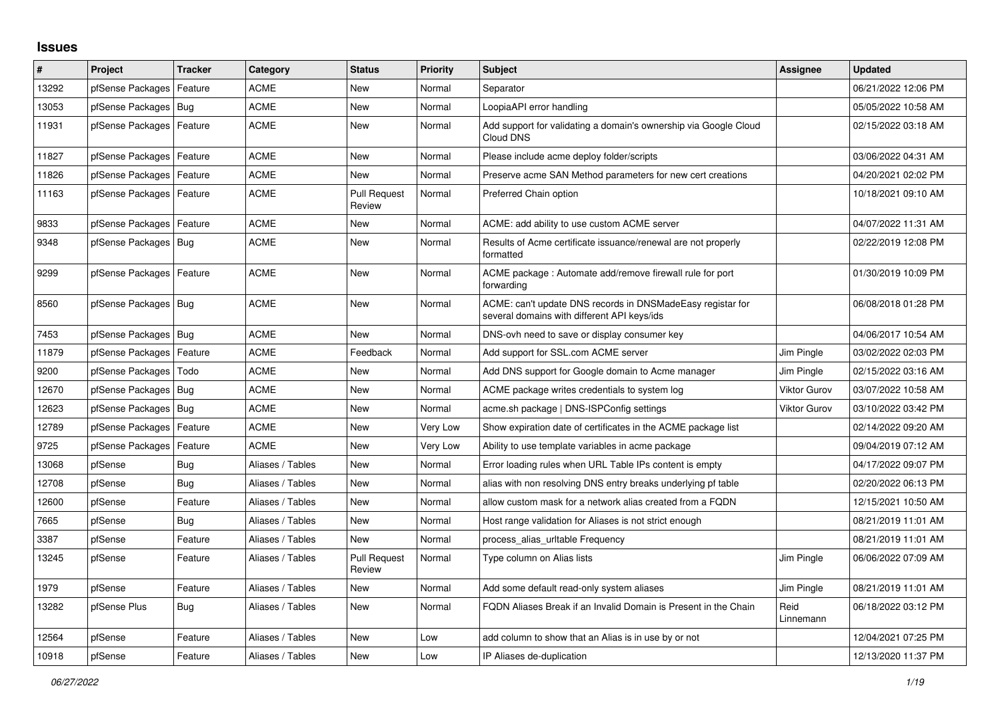## **Issues**

| #     | Project                    | <b>Tracker</b> | Category         | <b>Status</b>                 | <b>Priority</b> | <b>Subject</b>                                                                                            | Assignee            | <b>Updated</b>      |
|-------|----------------------------|----------------|------------------|-------------------------------|-----------------|-----------------------------------------------------------------------------------------------------------|---------------------|---------------------|
| 13292 | pfSense Packages           | Feature        | <b>ACME</b>      | <b>New</b>                    | Normal          | Separator                                                                                                 |                     | 06/21/2022 12:06 PM |
| 13053 | pfSense Packages           | Bug            | <b>ACME</b>      | <b>New</b>                    | Normal          | LoopiaAPI error handling                                                                                  |                     | 05/05/2022 10:58 AM |
| 11931 | pfSense Packages   Feature |                | <b>ACME</b>      | <b>New</b>                    | Normal          | Add support for validating a domain's ownership via Google Cloud<br>Cloud DNS                             |                     | 02/15/2022 03:18 AM |
| 11827 | pfSense Packages           | l Feature      | <b>ACME</b>      | <b>New</b>                    | Normal          | Please include acme deploy folder/scripts                                                                 |                     | 03/06/2022 04:31 AM |
| 11826 | pfSense Packages           | Feature        | <b>ACME</b>      | <b>New</b>                    | Normal          | Preserve acme SAN Method parameters for new cert creations                                                |                     | 04/20/2021 02:02 PM |
| 11163 | pfSense Packages           | Feature        | <b>ACME</b>      | <b>Pull Request</b><br>Review | Normal          | Preferred Chain option                                                                                    |                     | 10/18/2021 09:10 AM |
| 9833  | pfSense Packages           | Feature        | ACME             | <b>New</b>                    | Normal          | ACME: add ability to use custom ACME server                                                               |                     | 04/07/2022 11:31 AM |
| 9348  | pfSense Packages           | Bug            | <b>ACME</b>      | <b>New</b>                    | Normal          | Results of Acme certificate issuance/renewal are not properly<br>formatted                                |                     | 02/22/2019 12:08 PM |
| 9299  | pfSense Packages   Feature |                | <b>ACME</b>      | New                           | Normal          | ACME package: Automate add/remove firewall rule for port<br>forwarding                                    |                     | 01/30/2019 10:09 PM |
| 8560  | pfSense Packages   Bug     |                | <b>ACME</b>      | <b>New</b>                    | Normal          | ACME: can't update DNS records in DNSMadeEasy registar for<br>several domains with different API keys/ids |                     | 06/08/2018 01:28 PM |
| 7453  | pfSense Packages   Bug     |                | <b>ACME</b>      | <b>New</b>                    | Normal          | DNS-ovh need to save or display consumer key                                                              |                     | 04/06/2017 10:54 AM |
| 11879 | pfSense Packages           | Feature        | <b>ACME</b>      | Feedback                      | Normal          | Add support for SSL.com ACME server                                                                       | Jim Pingle          | 03/02/2022 02:03 PM |
| 9200  | pfSense Packages           | Todo           | <b>ACME</b>      | <b>New</b>                    | Normal          | Add DNS support for Google domain to Acme manager                                                         | Jim Pingle          | 02/15/2022 03:16 AM |
| 12670 | pfSense Packages   Bug     |                | <b>ACME</b>      | New                           | Normal          | ACME package writes credentials to system log                                                             | <b>Viktor Gurov</b> | 03/07/2022 10:58 AM |
| 12623 | pfSense Packages   Bug     |                | <b>ACME</b>      | <b>New</b>                    | Normal          | acme.sh package   DNS-ISPConfig settings                                                                  | <b>Viktor Gurov</b> | 03/10/2022 03:42 PM |
| 12789 | pfSense Packages           | Feature        | <b>ACME</b>      | <b>New</b>                    | Very Low        | Show expiration date of certificates in the ACME package list                                             |                     | 02/14/2022 09:20 AM |
| 9725  | pfSense Packages           | Feature        | <b>ACME</b>      | New                           | Very Low        | Ability to use template variables in acme package                                                         |                     | 09/04/2019 07:12 AM |
| 13068 | pfSense                    | Bug            | Aliases / Tables | <b>New</b>                    | Normal          | Error loading rules when URL Table IPs content is empty                                                   |                     | 04/17/2022 09:07 PM |
| 12708 | pfSense                    | Bug            | Aliases / Tables | <b>New</b>                    | Normal          | alias with non resolving DNS entry breaks underlying pf table                                             |                     | 02/20/2022 06:13 PM |
| 12600 | pfSense                    | Feature        | Aliases / Tables | New                           | Normal          | allow custom mask for a network alias created from a FQDN                                                 |                     | 12/15/2021 10:50 AM |
| 7665  | pfSense                    | Bug            | Aliases / Tables | <b>New</b>                    | Normal          | Host range validation for Aliases is not strict enough                                                    |                     | 08/21/2019 11:01 AM |
| 3387  | pfSense                    | Feature        | Aliases / Tables | <b>New</b>                    | Normal          | process alias urltable Frequency                                                                          |                     | 08/21/2019 11:01 AM |
| 13245 | pfSense                    | Feature        | Aliases / Tables | <b>Pull Request</b><br>Review | Normal          | Type column on Alias lists                                                                                | Jim Pingle          | 06/06/2022 07:09 AM |
| 1979  | pfSense                    | Feature        | Aliases / Tables | <b>New</b>                    | Normal          | Add some default read-only system aliases                                                                 | Jim Pingle          | 08/21/2019 11:01 AM |
| 13282 | pfSense Plus               | Bug            | Aliases / Tables | New                           | Normal          | FQDN Aliases Break if an Invalid Domain is Present in the Chain                                           | Reid<br>Linnemann   | 06/18/2022 03:12 PM |
| 12564 | pfSense                    | Feature        | Aliases / Tables | <b>New</b>                    | Low             | add column to show that an Alias is in use by or not                                                      |                     | 12/04/2021 07:25 PM |
| 10918 | pfSense                    | Feature        | Aliases / Tables | New                           | Low             | IP Aliases de-duplication                                                                                 |                     | 12/13/2020 11:37 PM |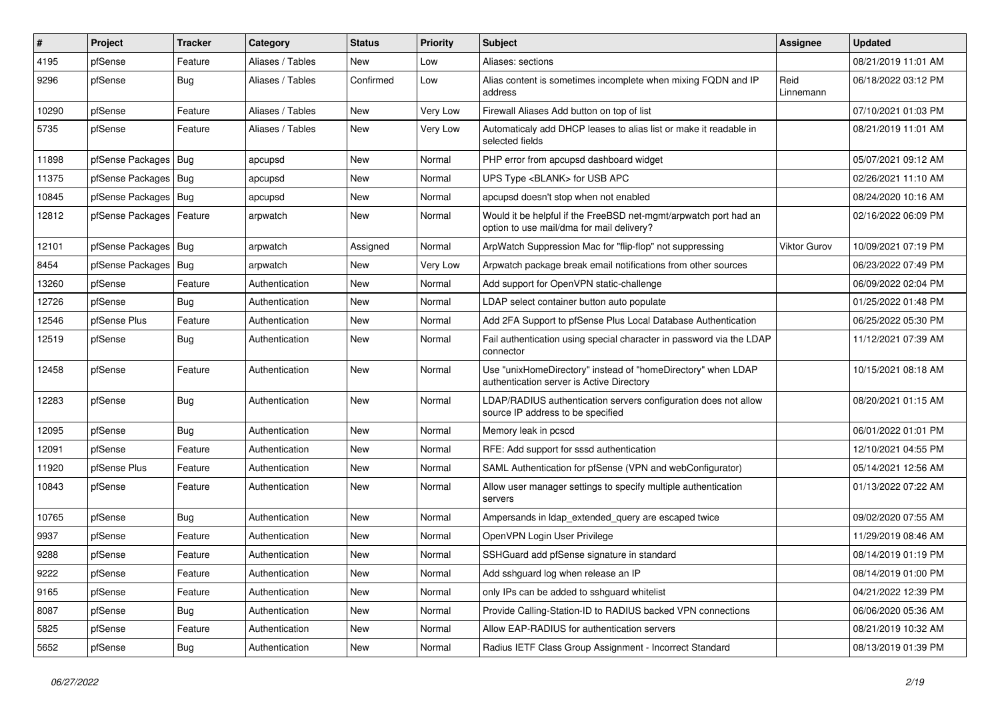| #     | Project          | Tracker    | Category         | <b>Status</b> | <b>Priority</b> | <b>Subject</b>                                                                                                | Assignee            | <b>Updated</b>      |
|-------|------------------|------------|------------------|---------------|-----------------|---------------------------------------------------------------------------------------------------------------|---------------------|---------------------|
| 4195  | pfSense          | Feature    | Aliases / Tables | <b>New</b>    | Low             | Aliases: sections                                                                                             |                     | 08/21/2019 11:01 AM |
| 9296  | pfSense          | Bug        | Aliases / Tables | Confirmed     | Low             | Alias content is sometimes incomplete when mixing FQDN and IP<br>address                                      | Reid<br>Linnemann   | 06/18/2022 03:12 PM |
| 10290 | pfSense          | Feature    | Aliases / Tables | <b>New</b>    | Very Low        | Firewall Aliases Add button on top of list                                                                    |                     | 07/10/2021 01:03 PM |
| 5735  | pfSense          | Feature    | Aliases / Tables | <b>New</b>    | Very Low        | Automaticaly add DHCP leases to alias list or make it readable in<br>selected fields                          |                     | 08/21/2019 11:01 AM |
| 11898 | pfSense Packages | Bug        | apcupsd          | New           | Normal          | PHP error from apcupsd dashboard widget                                                                       |                     | 05/07/2021 09:12 AM |
| 11375 | pfSense Packages | Bug        | apcupsd          | <b>New</b>    | Normal          | UPS Type <blank> for USB APC</blank>                                                                          |                     | 02/26/2021 11:10 AM |
| 10845 | pfSense Packages | Bug        | apcupsd          | <b>New</b>    | Normal          | apcupsd doesn't stop when not enabled                                                                         |                     | 08/24/2020 10:16 AM |
| 12812 | pfSense Packages | Feature    | arpwatch         | <b>New</b>    | Normal          | Would it be helpful if the FreeBSD net-mgmt/arpwatch port had an<br>option to use mail/dma for mail delivery? |                     | 02/16/2022 06:09 PM |
| 12101 | pfSense Packages | Bug        | arpwatch         | Assigned      | Normal          | ArpWatch Suppression Mac for "flip-flop" not suppressing                                                      | <b>Viktor Gurov</b> | 10/09/2021 07:19 PM |
| 8454  | pfSense Packages | Bug        | arpwatch         | <b>New</b>    | Very Low        | Arpwatch package break email notifications from other sources                                                 |                     | 06/23/2022 07:49 PM |
| 13260 | pfSense          | Feature    | Authentication   | <b>New</b>    | Normal          | Add support for OpenVPN static-challenge                                                                      |                     | 06/09/2022 02:04 PM |
| 12726 | pfSense          | Bug        | Authentication   | New           | Normal          | LDAP select container button auto populate                                                                    |                     | 01/25/2022 01:48 PM |
| 12546 | pfSense Plus     | Feature    | Authentication   | New           | Normal          | Add 2FA Support to pfSense Plus Local Database Authentication                                                 |                     | 06/25/2022 05:30 PM |
| 12519 | pfSense          | <b>Bug</b> | Authentication   | <b>New</b>    | Normal          | Fail authentication using special character in password via the LDAP<br>connector                             |                     | 11/12/2021 07:39 AM |
| 12458 | pfSense          | Feature    | Authentication   | <b>New</b>    | Normal          | Use "unixHomeDirectory" instead of "homeDirectory" when LDAP<br>authentication server is Active Directory     |                     | 10/15/2021 08:18 AM |
| 12283 | pfSense          | <b>Bug</b> | Authentication   | <b>New</b>    | Normal          | LDAP/RADIUS authentication servers configuration does not allow<br>source IP address to be specified          |                     | 08/20/2021 01:15 AM |
| 12095 | pfSense          | Bug        | Authentication   | <b>New</b>    | Normal          | Memory leak in pcscd                                                                                          |                     | 06/01/2022 01:01 PM |
| 12091 | pfSense          | Feature    | Authentication   | <b>New</b>    | Normal          | RFE: Add support for sssd authentication                                                                      |                     | 12/10/2021 04:55 PM |
| 11920 | pfSense Plus     | Feature    | Authentication   | <b>New</b>    | Normal          | SAML Authentication for pfSense (VPN and webConfigurator)                                                     |                     | 05/14/2021 12:56 AM |
| 10843 | pfSense          | Feature    | Authentication   | <b>New</b>    | Normal          | Allow user manager settings to specify multiple authentication<br>servers                                     |                     | 01/13/2022 07:22 AM |
| 10765 | pfSense          | <b>Bug</b> | Authentication   | <b>New</b>    | Normal          | Ampersands in Idap_extended_query are escaped twice                                                           |                     | 09/02/2020 07:55 AM |
| 9937  | pfSense          | Feature    | Authentication   | <b>New</b>    | Normal          | OpenVPN Login User Privilege                                                                                  |                     | 11/29/2019 08:46 AM |
| 9288  | pfSense          | Feature    | Authentication   | <b>New</b>    | Normal          | SSHGuard add pfSense signature in standard                                                                    |                     | 08/14/2019 01:19 PM |
| 9222  | pfSense          | Feature    | Authentication   | New           | Normal          | Add sshguard log when release an IP                                                                           |                     | 08/14/2019 01:00 PM |
| 9165  | pfSense          | Feature    | Authentication   | New           | Normal          | only IPs can be added to sshguard whitelist                                                                   |                     | 04/21/2022 12:39 PM |
| 8087  | pfSense          | <b>Bug</b> | Authentication   | New           | Normal          | Provide Calling-Station-ID to RADIUS backed VPN connections                                                   |                     | 06/06/2020 05:36 AM |
| 5825  | pfSense          | Feature    | Authentication   | New           | Normal          | Allow EAP-RADIUS for authentication servers                                                                   |                     | 08/21/2019 10:32 AM |
| 5652  | pfSense          | <b>Bug</b> | Authentication   | New           | Normal          | Radius IETF Class Group Assignment - Incorrect Standard                                                       |                     | 08/13/2019 01:39 PM |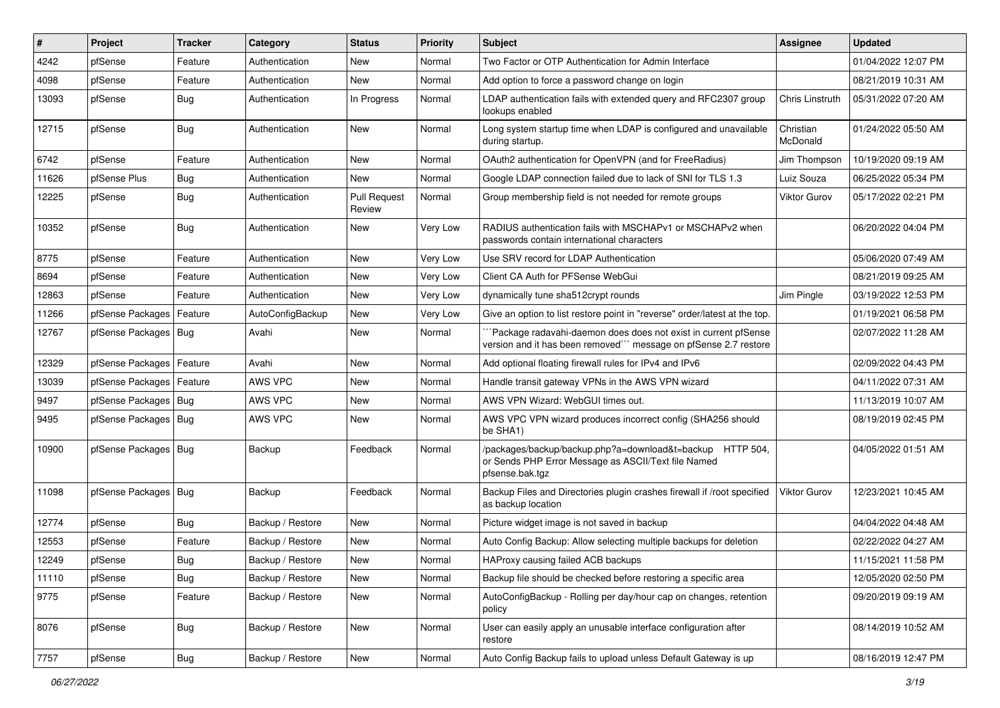| $\vert$ # | Project                    | Tracker    | Category         | <b>Status</b>                 | <b>Priority</b> | <b>Subject</b>                                                                                                                      | <b>Assignee</b>       | <b>Updated</b>      |
|-----------|----------------------------|------------|------------------|-------------------------------|-----------------|-------------------------------------------------------------------------------------------------------------------------------------|-----------------------|---------------------|
| 4242      | pfSense                    | Feature    | Authentication   | New                           | Normal          | Two Factor or OTP Authentication for Admin Interface                                                                                |                       | 01/04/2022 12:07 PM |
| 4098      | pfSense                    | Feature    | Authentication   | <b>New</b>                    | Normal          | Add option to force a password change on login                                                                                      |                       | 08/21/2019 10:31 AM |
| 13093     | pfSense                    | Bug        | Authentication   | In Progress                   | Normal          | LDAP authentication fails with extended query and RFC2307 group<br>lookups enabled                                                  | Chris Linstruth       | 05/31/2022 07:20 AM |
| 12715     | pfSense                    | <b>Bug</b> | Authentication   | <b>New</b>                    | Normal          | Long system startup time when LDAP is configured and unavailable<br>during startup.                                                 | Christian<br>McDonald | 01/24/2022 05:50 AM |
| 6742      | pfSense                    | Feature    | Authentication   | New                           | Normal          | OAuth2 authentication for OpenVPN (and for FreeRadius)                                                                              | Jim Thompson          | 10/19/2020 09:19 AM |
| 11626     | pfSense Plus               | <b>Bug</b> | Authentication   | <b>New</b>                    | Normal          | Google LDAP connection failed due to lack of SNI for TLS 1.3                                                                        | Luiz Souza            | 06/25/2022 05:34 PM |
| 12225     | pfSense                    | <b>Bug</b> | Authentication   | <b>Pull Request</b><br>Review | Normal          | Group membership field is not needed for remote groups                                                                              | <b>Viktor Gurov</b>   | 05/17/2022 02:21 PM |
| 10352     | pfSense                    | Bug        | Authentication   | New                           | Very Low        | RADIUS authentication fails with MSCHAPv1 or MSCHAPv2 when<br>passwords contain international characters                            |                       | 06/20/2022 04:04 PM |
| 8775      | pfSense                    | Feature    | Authentication   | <b>New</b>                    | Very Low        | Use SRV record for LDAP Authentication                                                                                              |                       | 05/06/2020 07:49 AM |
| 8694      | pfSense                    | Feature    | Authentication   | New                           | Very Low        | Client CA Auth for PFSense WebGui                                                                                                   |                       | 08/21/2019 09:25 AM |
| 12863     | pfSense                    | Feature    | Authentication   | New                           | Very Low        | dynamically tune sha512crypt rounds                                                                                                 | Jim Pingle            | 03/19/2022 12:53 PM |
| 11266     | pfSense Packages           | Feature    | AutoConfigBackup | New                           | Very Low        | Give an option to list restore point in "reverse" order/latest at the top.                                                          |                       | 01/19/2021 06:58 PM |
| 12767     | pfSense Packages   Bug     |            | Avahi            | New                           | Normal          | Package radavahi-daemon does does not exist in current pfSense<br>version and it has been removed"" message on pfSense 2.7 restore  |                       | 02/07/2022 11:28 AM |
| 12329     | pfSense Packages   Feature |            | Avahi            | New                           | Normal          | Add optional floating firewall rules for IPv4 and IPv6                                                                              |                       | 02/09/2022 04:43 PM |
| 13039     | pfSense Packages   Feature |            | AWS VPC          | New                           | Normal          | Handle transit gateway VPNs in the AWS VPN wizard                                                                                   |                       | 04/11/2022 07:31 AM |
| 9497      | pfSense Packages   Bug     |            | AWS VPC          | <b>New</b>                    | Normal          | AWS VPN Wizard: WebGUI times out.                                                                                                   |                       | 11/13/2019 10:07 AM |
| 9495      | pfSense Packages   Bug     |            | AWS VPC          | New                           | Normal          | AWS VPC VPN wizard produces incorrect config (SHA256 should<br>be SHA1)                                                             |                       | 08/19/2019 02:45 PM |
| 10900     | pfSense Packages   Bug     |            | Backup           | Feedback                      | Normal          | /packages/backup/backup.php?a=download&t=backup HTTP 504,<br>or Sends PHP Error Message as ASCII/Text file Named<br>pfsense.bak.tgz |                       | 04/05/2022 01:51 AM |
| 11098     | pfSense Packages   Bug     |            | Backup           | Feedback                      | Normal          | Backup Files and Directories plugin crashes firewall if /root specified<br>as backup location                                       | Viktor Gurov          | 12/23/2021 10:45 AM |
| 12774     | pfSense                    | Bug        | Backup / Restore | <b>New</b>                    | Normal          | Picture widget image is not saved in backup                                                                                         |                       | 04/04/2022 04:48 AM |
| 12553     | pfSense                    | Feature    | Backup / Restore | New                           | Normal          | Auto Config Backup: Allow selecting multiple backups for deletion                                                                   |                       | 02/22/2022 04:27 AM |
| 12249     | pfSense                    | <b>Bug</b> | Backup / Restore | New                           | Normal          | HAProxy causing failed ACB backups                                                                                                  |                       | 11/15/2021 11:58 PM |
| 11110     | pfSense                    | Bug        | Backup / Restore | New                           | Normal          | Backup file should be checked before restoring a specific area                                                                      |                       | 12/05/2020 02:50 PM |
| 9775      | pfSense                    | Feature    | Backup / Restore | New                           | Normal          | AutoConfigBackup - Rolling per day/hour cap on changes, retention<br>policy                                                         |                       | 09/20/2019 09:19 AM |
| 8076      | pfSense                    | <b>Bug</b> | Backup / Restore | New                           | Normal          | User can easily apply an unusable interface configuration after<br>restore                                                          |                       | 08/14/2019 10:52 AM |
| 7757      | pfSense                    | Bug        | Backup / Restore | New                           | Normal          | Auto Config Backup fails to upload unless Default Gateway is up                                                                     |                       | 08/16/2019 12:47 PM |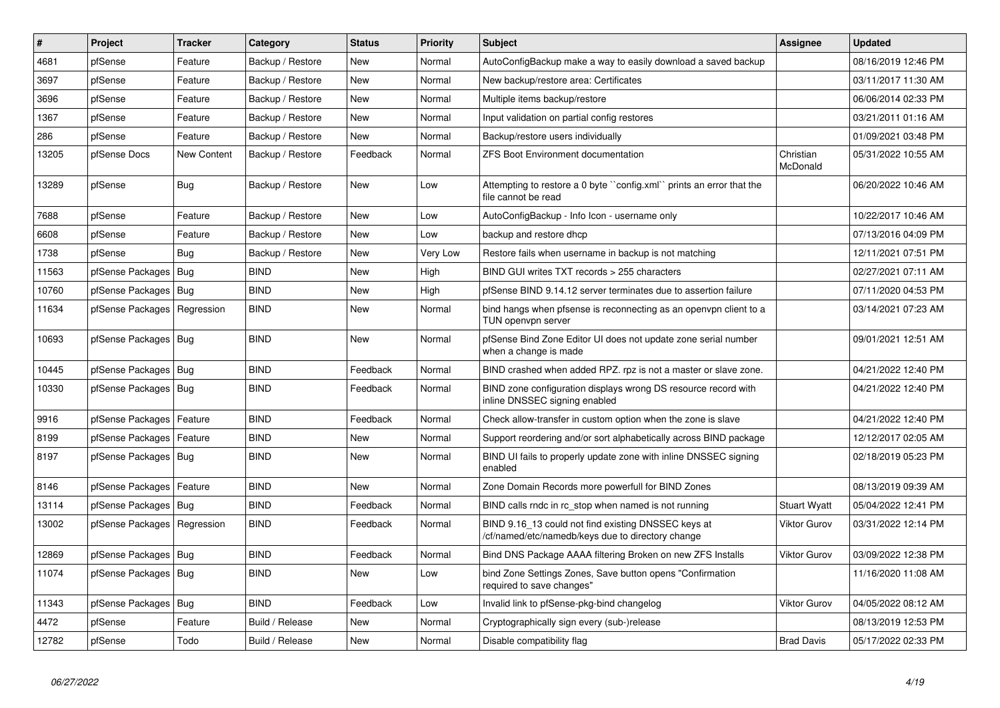| #     | <b>Project</b>         | <b>Tracker</b>     | Category         | <b>Status</b> | <b>Priority</b> | <b>Subject</b>                                                                                           | <b>Assignee</b>       | <b>Updated</b>      |
|-------|------------------------|--------------------|------------------|---------------|-----------------|----------------------------------------------------------------------------------------------------------|-----------------------|---------------------|
| 4681  | pfSense                | Feature            | Backup / Restore | <b>New</b>    | Normal          | AutoConfigBackup make a way to easily download a saved backup                                            |                       | 08/16/2019 12:46 PM |
| 3697  | pfSense                | Feature            | Backup / Restore | <b>New</b>    | Normal          | New backup/restore area: Certificates                                                                    |                       | 03/11/2017 11:30 AM |
| 3696  | pfSense                | Feature            | Backup / Restore | <b>New</b>    | Normal          | Multiple items backup/restore                                                                            |                       | 06/06/2014 02:33 PM |
| 1367  | pfSense                | Feature            | Backup / Restore | <b>New</b>    | Normal          | Input validation on partial config restores                                                              |                       | 03/21/2011 01:16 AM |
| 286   | pfSense                | Feature            | Backup / Restore | <b>New</b>    | Normal          | Backup/restore users individually                                                                        |                       | 01/09/2021 03:48 PM |
| 13205 | pfSense Docs           | <b>New Content</b> | Backup / Restore | Feedback      | Normal          | <b>ZFS Boot Environment documentation</b>                                                                | Christian<br>McDonald | 05/31/2022 10:55 AM |
| 13289 | pfSense                | Bug                | Backup / Restore | <b>New</b>    | Low             | Attempting to restore a 0 byte "config.xml" prints an error that the<br>file cannot be read              |                       | 06/20/2022 10:46 AM |
| 7688  | pfSense                | Feature            | Backup / Restore | New           | Low             | AutoConfigBackup - Info Icon - username only                                                             |                       | 10/22/2017 10:46 AM |
| 6608  | pfSense                | Feature            | Backup / Restore | <b>New</b>    | Low             | backup and restore dhcp                                                                                  |                       | 07/13/2016 04:09 PM |
| 1738  | pfSense                | <b>Bug</b>         | Backup / Restore | <b>New</b>    | Very Low        | Restore fails when username in backup is not matching                                                    |                       | 12/11/2021 07:51 PM |
| 11563 | pfSense Packages       | Bug                | <b>BIND</b>      | New           | High            | BIND GUI writes TXT records > 255 characters                                                             |                       | 02/27/2021 07:11 AM |
| 10760 | pfSense Packages   Bug |                    | <b>BIND</b>      | <b>New</b>    | High            | pfSense BIND 9.14.12 server terminates due to assertion failure                                          |                       | 07/11/2020 04:53 PM |
| 11634 | pfSense Packages       | Regression         | <b>BIND</b>      | <b>New</b>    | Normal          | bind hangs when pfsense is reconnecting as an openvpn client to a<br>TUN openvpn server                  |                       | 03/14/2021 07:23 AM |
| 10693 | pfSense Packages   Bug |                    | <b>BIND</b>      | <b>New</b>    | Normal          | pfSense Bind Zone Editor UI does not update zone serial number<br>when a change is made                  |                       | 09/01/2021 12:51 AM |
| 10445 | pfSense Packages   Bug |                    | <b>BIND</b>      | Feedback      | Normal          | BIND crashed when added RPZ. rpz is not a master or slave zone.                                          |                       | 04/21/2022 12:40 PM |
| 10330 | pfSense Packages   Bug |                    | <b>BIND</b>      | Feedback      | Normal          | BIND zone configuration displays wrong DS resource record with<br>inline DNSSEC signing enabled          |                       | 04/21/2022 12:40 PM |
| 9916  | pfSense Packages       | Feature            | <b>BIND</b>      | Feedback      | Normal          | Check allow-transfer in custom option when the zone is slave                                             |                       | 04/21/2022 12:40 PM |
| 8199  | pfSense Packages       | Feature            | <b>BIND</b>      | <b>New</b>    | Normal          | Support reordering and/or sort alphabetically across BIND package                                        |                       | 12/12/2017 02:05 AM |
| 8197  | pfSense Packages       | Bug                | <b>BIND</b>      | <b>New</b>    | Normal          | BIND UI fails to properly update zone with inline DNSSEC signing<br>enabled                              |                       | 02/18/2019 05:23 PM |
| 8146  | pfSense Packages       | Feature            | <b>BIND</b>      | <b>New</b>    | Normal          | Zone Domain Records more powerfull for BIND Zones                                                        |                       | 08/13/2019 09:39 AM |
| 13114 | pfSense Packages       | Bug                | <b>BIND</b>      | Feedback      | Normal          | BIND calls rndc in rc stop when named is not running                                                     | <b>Stuart Wyatt</b>   | 05/04/2022 12:41 PM |
| 13002 | pfSense Packages       | Regression         | <b>BIND</b>      | Feedback      | Normal          | BIND 9.16 13 could not find existing DNSSEC keys at<br>/cf/named/etc/namedb/keys due to directory change | <b>Viktor Gurov</b>   | 03/31/2022 12:14 PM |
| 12869 | pfSense Packages       | Bug                | <b>BIND</b>      | Feedback      | Normal          | Bind DNS Package AAAA filtering Broken on new ZFS Installs                                               | <b>Viktor Gurov</b>   | 03/09/2022 12:38 PM |
| 11074 | pfSense Packages       | <b>Bug</b>         | <b>BIND</b>      | <b>New</b>    | Low             | bind Zone Settings Zones, Save button opens "Confirmation"<br>required to save changes"                  |                       | 11/16/2020 11:08 AM |
| 11343 | pfSense Packages       | Bug                | <b>BIND</b>      | Feedback      | Low             | Invalid link to pfSense-pkg-bind changelog                                                               | <b>Viktor Gurov</b>   | 04/05/2022 08:12 AM |
| 4472  | pfSense                | Feature            | Build / Release  | <b>New</b>    | Normal          | Cryptographically sign every (sub-)release                                                               |                       | 08/13/2019 12:53 PM |
| 12782 | pfSense                | Todo               | Build / Release  | New           | Normal          | Disable compatibility flag                                                                               | <b>Brad Davis</b>     | 05/17/2022 02:33 PM |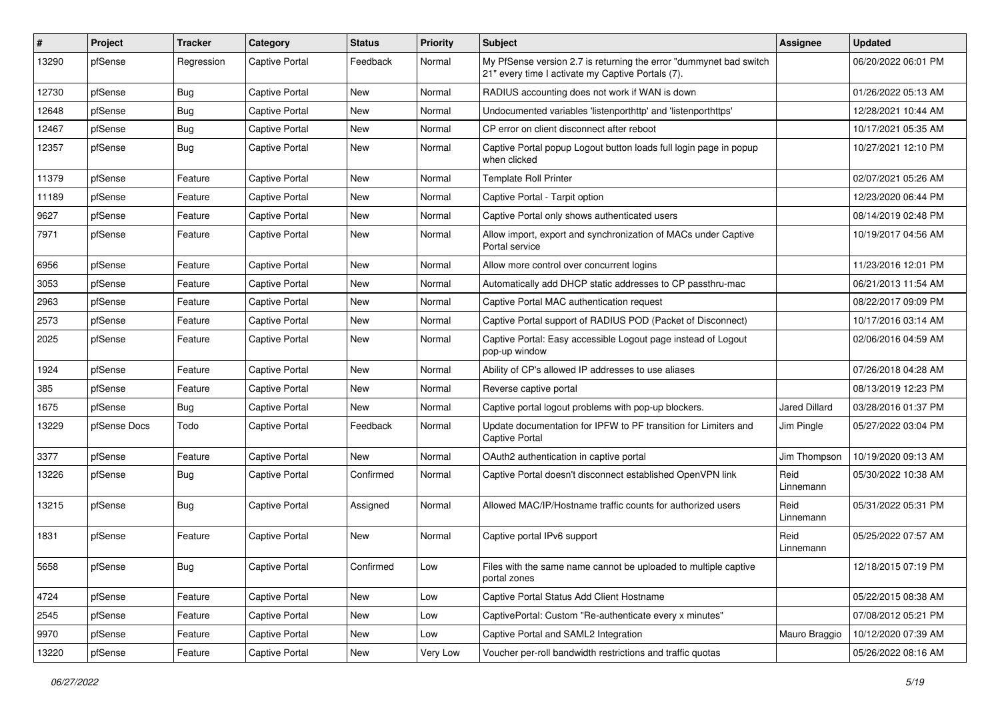| #     | Project      | <b>Tracker</b> | Category              | <b>Status</b> | <b>Priority</b> | Subject                                                                                                                 | <b>Assignee</b>   | <b>Updated</b>      |
|-------|--------------|----------------|-----------------------|---------------|-----------------|-------------------------------------------------------------------------------------------------------------------------|-------------------|---------------------|
| 13290 | pfSense      | Regression     | <b>Captive Portal</b> | Feedback      | Normal          | My PfSense version 2.7 is returning the error "dummynet bad switch<br>21" every time I activate my Captive Portals (7). |                   | 06/20/2022 06:01 PM |
| 12730 | pfSense      | Bug            | Captive Portal        | New           | Normal          | RADIUS accounting does not work if WAN is down                                                                          |                   | 01/26/2022 05:13 AM |
| 12648 | pfSense      | <b>Bug</b>     | Captive Portal        | New           | Normal          | Undocumented variables 'listenporthttp' and 'listenporthttps'                                                           |                   | 12/28/2021 10:44 AM |
| 12467 | pfSense      | <b>Bug</b>     | Captive Portal        | <b>New</b>    | Normal          | CP error on client disconnect after reboot                                                                              |                   | 10/17/2021 05:35 AM |
| 12357 | pfSense      | Bug            | <b>Captive Portal</b> | New           | Normal          | Captive Portal popup Logout button loads full login page in popup<br>when clicked                                       |                   | 10/27/2021 12:10 PM |
| 11379 | pfSense      | Feature        | Captive Portal        | <b>New</b>    | Normal          | <b>Template Roll Printer</b>                                                                                            |                   | 02/07/2021 05:26 AM |
| 11189 | pfSense      | Feature        | Captive Portal        | New           | Normal          | Captive Portal - Tarpit option                                                                                          |                   | 12/23/2020 06:44 PM |
| 9627  | pfSense      | Feature        | <b>Captive Portal</b> | New           | Normal          | Captive Portal only shows authenticated users                                                                           |                   | 08/14/2019 02:48 PM |
| 7971  | pfSense      | Feature        | <b>Captive Portal</b> | New           | Normal          | Allow import, export and synchronization of MACs under Captive<br>Portal service                                        |                   | 10/19/2017 04:56 AM |
| 6956  | pfSense      | Feature        | <b>Captive Portal</b> | <b>New</b>    | Normal          | Allow more control over concurrent logins                                                                               |                   | 11/23/2016 12:01 PM |
| 3053  | pfSense      | Feature        | Captive Portal        | New           | Normal          | Automatically add DHCP static addresses to CP passthru-mac                                                              |                   | 06/21/2013 11:54 AM |
| 2963  | pfSense      | Feature        | Captive Portal        | New           | Normal          | Captive Portal MAC authentication request                                                                               |                   | 08/22/2017 09:09 PM |
| 2573  | pfSense      | Feature        | Captive Portal        | New           | Normal          | Captive Portal support of RADIUS POD (Packet of Disconnect)                                                             |                   | 10/17/2016 03:14 AM |
| 2025  | pfSense      | Feature        | <b>Captive Portal</b> | New           | Normal          | Captive Portal: Easy accessible Logout page instead of Logout<br>pop-up window                                          |                   | 02/06/2016 04:59 AM |
| 1924  | pfSense      | Feature        | Captive Portal        | New           | Normal          | Ability of CP's allowed IP addresses to use aliases                                                                     |                   | 07/26/2018 04:28 AM |
| 385   | pfSense      | Feature        | <b>Captive Portal</b> | New           | Normal          | Reverse captive portal                                                                                                  |                   | 08/13/2019 12:23 PM |
| 1675  | pfSense      | <b>Bug</b>     | <b>Captive Portal</b> | <b>New</b>    | Normal          | Captive portal logout problems with pop-up blockers.                                                                    | Jared Dillard     | 03/28/2016 01:37 PM |
| 13229 | pfSense Docs | Todo           | Captive Portal        | Feedback      | Normal          | Update documentation for IPFW to PF transition for Limiters and<br><b>Captive Portal</b>                                | Jim Pingle        | 05/27/2022 03:04 PM |
| 3377  | pfSense      | Feature        | <b>Captive Portal</b> | <b>New</b>    | Normal          | OAuth2 authentication in captive portal                                                                                 | Jim Thompson      | 10/19/2020 09:13 AM |
| 13226 | pfSense      | <b>Bug</b>     | <b>Captive Portal</b> | Confirmed     | Normal          | Captive Portal doesn't disconnect established OpenVPN link                                                              | Reid<br>Linnemann | 05/30/2022 10:38 AM |
| 13215 | pfSense      | <b>Bug</b>     | <b>Captive Portal</b> | Assigned      | Normal          | Allowed MAC/IP/Hostname traffic counts for authorized users                                                             | Reid<br>Linnemann | 05/31/2022 05:31 PM |
| 1831  | pfSense      | Feature        | Captive Portal        | New           | Normal          | Captive portal IPv6 support                                                                                             | Reid<br>Linnemann | 05/25/2022 07:57 AM |
| 5658  | pfSense      | <b>Bug</b>     | Captive Portal        | Confirmed     | Low             | Files with the same name cannot be uploaded to multiple captive<br>portal zones                                         |                   | 12/18/2015 07:19 PM |
| 4724  | pfSense      | Feature        | Captive Portal        | New           | Low             | Captive Portal Status Add Client Hostname                                                                               |                   | 05/22/2015 08:38 AM |
| 2545  | pfSense      | Feature        | Captive Portal        | New           | Low             | CaptivePortal: Custom "Re-authenticate every x minutes"                                                                 |                   | 07/08/2012 05:21 PM |
| 9970  | pfSense      | Feature        | Captive Portal        | New           | Low             | Captive Portal and SAML2 Integration                                                                                    | Mauro Braggio     | 10/12/2020 07:39 AM |
| 13220 | pfSense      | Feature        | Captive Portal        | New           | Very Low        | Voucher per-roll bandwidth restrictions and traffic quotas                                                              |                   | 05/26/2022 08:16 AM |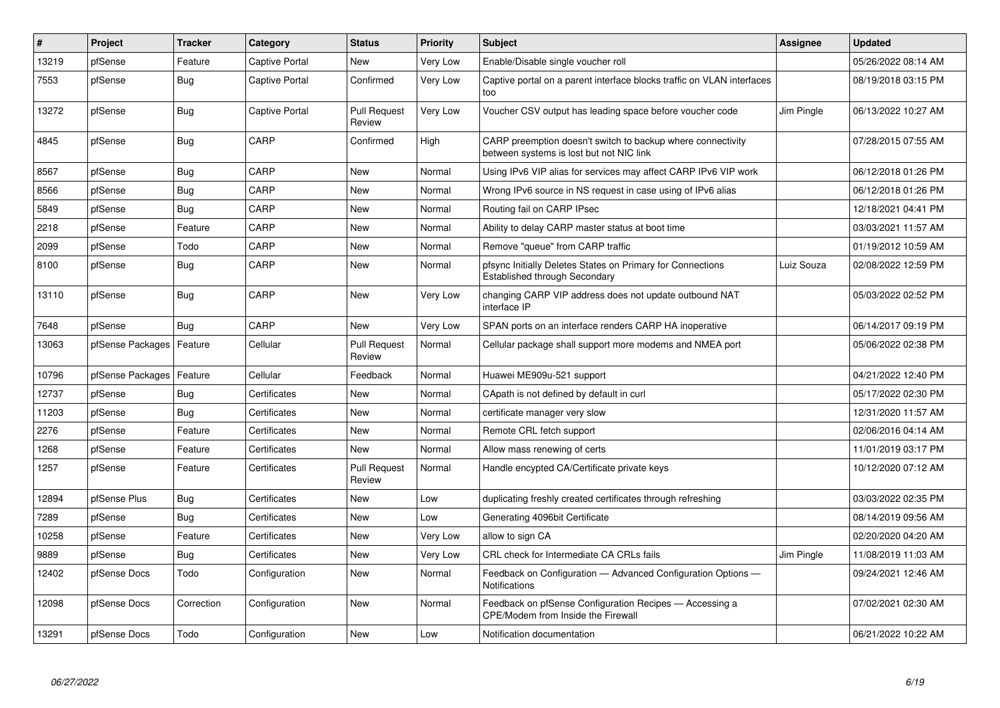| $\pmb{\#}$ | Project          | <b>Tracker</b> | Category       | <b>Status</b>                 | Priority | <b>Subject</b>                                                                                          | Assignee   | <b>Updated</b>      |
|------------|------------------|----------------|----------------|-------------------------------|----------|---------------------------------------------------------------------------------------------------------|------------|---------------------|
| 13219      | pfSense          | Feature        | Captive Portal | <b>New</b>                    | Very Low | Enable/Disable single voucher roll                                                                      |            | 05/26/2022 08:14 AM |
| 7553       | pfSense          | Bug            | Captive Portal | Confirmed                     | Very Low | Captive portal on a parent interface blocks traffic on VLAN interfaces<br>too                           |            | 08/19/2018 03:15 PM |
| 13272      | pfSense          | Bug            | Captive Portal | <b>Pull Request</b><br>Review | Very Low | Voucher CSV output has leading space before voucher code                                                | Jim Pingle | 06/13/2022 10:27 AM |
| 4845       | pfSense          | <b>Bug</b>     | CARP           | Confirmed                     | High     | CARP preemption doesn't switch to backup where connectivity<br>between systems is lost but not NIC link |            | 07/28/2015 07:55 AM |
| 8567       | pfSense          | Bug            | CARP           | <b>New</b>                    | Normal   | Using IPv6 VIP alias for services may affect CARP IPv6 VIP work                                         |            | 06/12/2018 01:26 PM |
| 8566       | pfSense          | <b>Bug</b>     | CARP           | New                           | Normal   | Wrong IPv6 source in NS request in case using of IPv6 alias                                             |            | 06/12/2018 01:26 PM |
| 5849       | pfSense          | <b>Bug</b>     | CARP           | <b>New</b>                    | Normal   | Routing fail on CARP IPsec                                                                              |            | 12/18/2021 04:41 PM |
| 2218       | pfSense          | Feature        | CARP           | <b>New</b>                    | Normal   | Ability to delay CARP master status at boot time                                                        |            | 03/03/2021 11:57 AM |
| 2099       | pfSense          | Todo           | CARP           | <b>New</b>                    | Normal   | Remove "queue" from CARP traffic                                                                        |            | 01/19/2012 10:59 AM |
| 8100       | pfSense          | Bug            | CARP           | New                           | Normal   | pfsync Initially Deletes States on Primary for Connections<br>Established through Secondary             | Luiz Souza | 02/08/2022 12:59 PM |
| 13110      | pfSense          | <b>Bug</b>     | CARP           | New                           | Very Low | changing CARP VIP address does not update outbound NAT<br>interface IP                                  |            | 05/03/2022 02:52 PM |
| 7648       | pfSense          | <b>Bug</b>     | CARP           | New                           | Very Low | SPAN ports on an interface renders CARP HA inoperative                                                  |            | 06/14/2017 09:19 PM |
| 13063      | pfSense Packages | Feature        | Cellular       | <b>Pull Request</b><br>Review | Normal   | Cellular package shall support more modems and NMEA port                                                |            | 05/06/2022 02:38 PM |
| 10796      | pfSense Packages | Feature        | Cellular       | Feedback                      | Normal   | Huawei ME909u-521 support                                                                               |            | 04/21/2022 12:40 PM |
| 12737      | pfSense          | <b>Bug</b>     | Certificates   | New                           | Normal   | CApath is not defined by default in curl                                                                |            | 05/17/2022 02:30 PM |
| 11203      | pfSense          | Bug            | Certificates   | New                           | Normal   | certificate manager very slow                                                                           |            | 12/31/2020 11:57 AM |
| 2276       | pfSense          | Feature        | Certificates   | <b>New</b>                    | Normal   | Remote CRL fetch support                                                                                |            | 02/06/2016 04:14 AM |
| 1268       | pfSense          | Feature        | Certificates   | <b>New</b>                    | Normal   | Allow mass renewing of certs                                                                            |            | 11/01/2019 03:17 PM |
| 1257       | pfSense          | Feature        | Certificates   | <b>Pull Request</b><br>Review | Normal   | Handle encypted CA/Certificate private keys                                                             |            | 10/12/2020 07:12 AM |
| 12894      | pfSense Plus     | Bug            | Certificates   | <b>New</b>                    | Low      | duplicating freshly created certificates through refreshing                                             |            | 03/03/2022 02:35 PM |
| 7289       | pfSense          | Bug            | Certificates   | <b>New</b>                    | Low      | Generating 4096bit Certificate                                                                          |            | 08/14/2019 09:56 AM |
| 10258      | pfSense          | Feature        | Certificates   | <b>New</b>                    | Very Low | allow to sign CA                                                                                        |            | 02/20/2020 04:20 AM |
| 9889       | pfSense          | <b>Bug</b>     | Certificates   | New                           | Very Low | CRL check for Intermediate CA CRLs fails                                                                | Jim Pingle | 11/08/2019 11:03 AM |
| 12402      | pfSense Docs     | Todo           | Configuration  | <b>New</b>                    | Normal   | Feedback on Configuration - Advanced Configuration Options -<br><b>Notifications</b>                    |            | 09/24/2021 12:46 AM |
| 12098      | pfSense Docs     | Correction     | Configuration  | <b>New</b>                    | Normal   | Feedback on pfSense Configuration Recipes - Accessing a<br>CPE/Modem from Inside the Firewall           |            | 07/02/2021 02:30 AM |
| 13291      | pfSense Docs     | Todo           | Configuration  | New                           | Low      | Notification documentation                                                                              |            | 06/21/2022 10:22 AM |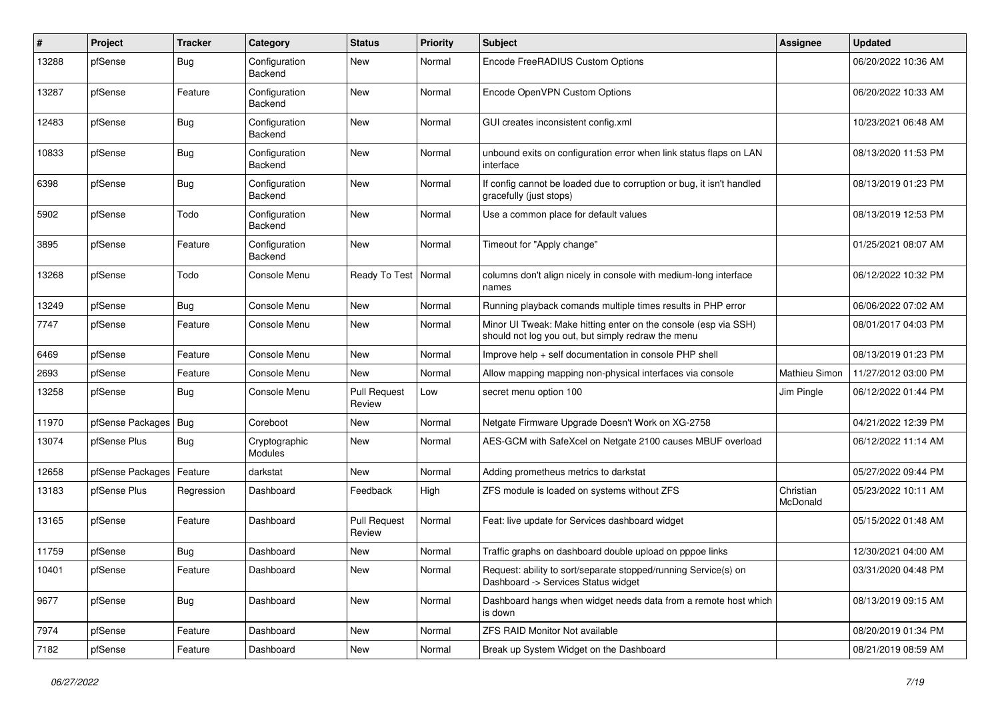| ∦     | Project          | <b>Tracker</b> | Category                        | <b>Status</b>                 | <b>Priority</b> | Subject                                                                                                               | Assignee              | <b>Updated</b>      |
|-------|------------------|----------------|---------------------------------|-------------------------------|-----------------|-----------------------------------------------------------------------------------------------------------------------|-----------------------|---------------------|
| 13288 | pfSense          | <b>Bug</b>     | Configuration<br>Backend        | New                           | Normal          | Encode FreeRADIUS Custom Options                                                                                      |                       | 06/20/2022 10:36 AM |
| 13287 | pfSense          | Feature        | Configuration<br>Backend        | <b>New</b>                    | Normal          | Encode OpenVPN Custom Options                                                                                         |                       | 06/20/2022 10:33 AM |
| 12483 | pfSense          | <b>Bug</b>     | Configuration<br>Backend        | <b>New</b>                    | Normal          | GUI creates inconsistent config.xml                                                                                   |                       | 10/23/2021 06:48 AM |
| 10833 | pfSense          | <b>Bug</b>     | Configuration<br>Backend        | New                           | Normal          | unbound exits on configuration error when link status flaps on LAN<br>interface                                       |                       | 08/13/2020 11:53 PM |
| 6398  | pfSense          | <b>Bug</b>     | Configuration<br>Backend        | <b>New</b>                    | Normal          | If config cannot be loaded due to corruption or bug, it isn't handled<br>gracefully (just stops)                      |                       | 08/13/2019 01:23 PM |
| 5902  | pfSense          | Todo           | Configuration<br>Backend        | <b>New</b>                    | Normal          | Use a common place for default values                                                                                 |                       | 08/13/2019 12:53 PM |
| 3895  | pfSense          | Feature        | Configuration<br>Backend        | <b>New</b>                    | Normal          | Timeout for "Apply change"                                                                                            |                       | 01/25/2021 08:07 AM |
| 13268 | pfSense          | Todo           | Console Menu                    | Ready To Test                 | Normal          | columns don't align nicely in console with medium-long interface<br>names                                             |                       | 06/12/2022 10:32 PM |
| 13249 | pfSense          | Bug            | Console Menu                    | <b>New</b>                    | Normal          | Running playback comands multiple times results in PHP error                                                          |                       | 06/06/2022 07:02 AM |
| 7747  | pfSense          | Feature        | Console Menu                    | New                           | Normal          | Minor UI Tweak: Make hitting enter on the console (esp via SSH)<br>should not log you out, but simply redraw the menu |                       | 08/01/2017 04:03 PM |
| 6469  | pfSense          | Feature        | Console Menu                    | <b>New</b>                    | Normal          | Improve help + self documentation in console PHP shell                                                                |                       | 08/13/2019 01:23 PM |
| 2693  | pfSense          | Feature        | Console Menu                    | <b>New</b>                    | Normal          | Allow mapping mapping non-physical interfaces via console                                                             | Mathieu Simon         | 11/27/2012 03:00 PM |
| 13258 | pfSense          | Bug            | Console Menu                    | <b>Pull Request</b><br>Review | Low             | secret menu option 100                                                                                                | Jim Pingle            | 06/12/2022 01:44 PM |
| 11970 | pfSense Packages | Bug            | Coreboot                        | <b>New</b>                    | Normal          | Netgate Firmware Upgrade Doesn't Work on XG-2758                                                                      |                       | 04/21/2022 12:39 PM |
| 13074 | pfSense Plus     | Bug            | Cryptographic<br><b>Modules</b> | New                           | Normal          | AES-GCM with SafeXcel on Netgate 2100 causes MBUF overload                                                            |                       | 06/12/2022 11:14 AM |
| 12658 | pfSense Packages | Feature        | darkstat                        | <b>New</b>                    | Normal          | Adding prometheus metrics to darkstat                                                                                 |                       | 05/27/2022 09:44 PM |
| 13183 | pfSense Plus     | Regression     | Dashboard                       | Feedback                      | High            | ZFS module is loaded on systems without ZFS                                                                           | Christian<br>McDonald | 05/23/2022 10:11 AM |
| 13165 | pfSense          | Feature        | Dashboard                       | <b>Pull Request</b><br>Review | Normal          | Feat: live update for Services dashboard widget                                                                       |                       | 05/15/2022 01:48 AM |
| 11759 | pfSense          | <b>Bug</b>     | Dashboard                       | <b>New</b>                    | Normal          | Traffic graphs on dashboard double upload on pppoe links                                                              |                       | 12/30/2021 04:00 AM |
| 10401 | pfSense          | Feature        | Dashboard                       | New                           | Normal          | Request: ability to sort/separate stopped/running Service(s) on<br>Dashboard -> Services Status widget                |                       | 03/31/2020 04:48 PM |
| 9677  | pfSense          | <b>Bug</b>     | Dashboard                       | New                           | Normal          | Dashboard hangs when widget needs data from a remote host which<br>is down                                            |                       | 08/13/2019 09:15 AM |
| 7974  | pfSense          | Feature        | Dashboard                       | New                           | Normal          | ZFS RAID Monitor Not available                                                                                        |                       | 08/20/2019 01:34 PM |
| 7182  | pfSense          | Feature        | Dashboard                       | New                           | Normal          | Break up System Widget on the Dashboard                                                                               |                       | 08/21/2019 08:59 AM |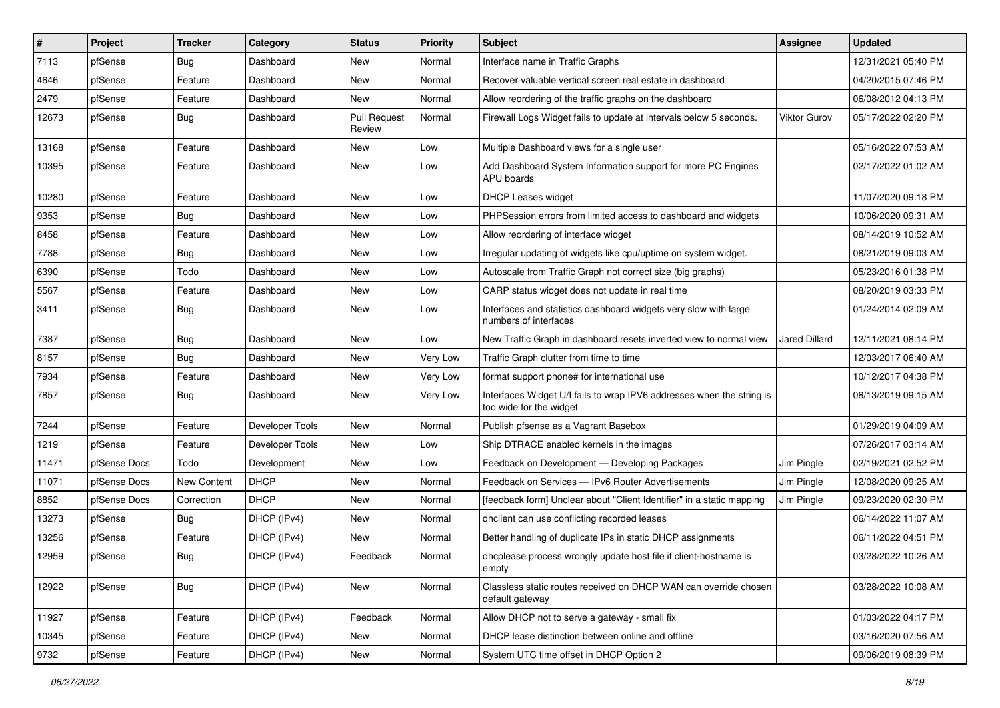| $\vert$ # | Project      | <b>Tracker</b> | Category        | <b>Status</b>                 | <b>Priority</b> | Subject                                                                                          | Assignee             | <b>Updated</b>      |
|-----------|--------------|----------------|-----------------|-------------------------------|-----------------|--------------------------------------------------------------------------------------------------|----------------------|---------------------|
| 7113      | pfSense      | <b>Bug</b>     | Dashboard       | New                           | Normal          | Interface name in Traffic Graphs                                                                 |                      | 12/31/2021 05:40 PM |
| 4646      | pfSense      | Feature        | Dashboard       | <b>New</b>                    | Normal          | Recover valuable vertical screen real estate in dashboard                                        |                      | 04/20/2015 07:46 PM |
| 2479      | pfSense      | Feature        | Dashboard       | New                           | Normal          | Allow reordering of the traffic graphs on the dashboard                                          |                      | 06/08/2012 04:13 PM |
| 12673     | pfSense      | Bug            | Dashboard       | <b>Pull Request</b><br>Review | Normal          | Firewall Logs Widget fails to update at intervals below 5 seconds.                               | Viktor Gurov         | 05/17/2022 02:20 PM |
| 13168     | pfSense      | Feature        | Dashboard       | New                           | Low             | Multiple Dashboard views for a single user                                                       |                      | 05/16/2022 07:53 AM |
| 10395     | pfSense      | Feature        | Dashboard       | New                           | Low             | Add Dashboard System Information support for more PC Engines<br>APU boards                       |                      | 02/17/2022 01:02 AM |
| 10280     | pfSense      | Feature        | Dashboard       | New                           | Low             | <b>DHCP Leases widget</b>                                                                        |                      | 11/07/2020 09:18 PM |
| 9353      | pfSense      | <b>Bug</b>     | Dashboard       | <b>New</b>                    | Low             | PHPSession errors from limited access to dashboard and widgets                                   |                      | 10/06/2020 09:31 AM |
| 8458      | pfSense      | Feature        | Dashboard       | New                           | Low             | Allow reordering of interface widget                                                             |                      | 08/14/2019 10:52 AM |
| 7788      | pfSense      | <b>Bug</b>     | Dashboard       | <b>New</b>                    | Low             | Irregular updating of widgets like cpu/uptime on system widget.                                  |                      | 08/21/2019 09:03 AM |
| 6390      | pfSense      | Todo           | Dashboard       | <b>New</b>                    | Low             | Autoscale from Traffic Graph not correct size (big graphs)                                       |                      | 05/23/2016 01:38 PM |
| 5567      | pfSense      | Feature        | Dashboard       | New                           | Low             | CARP status widget does not update in real time                                                  |                      | 08/20/2019 03:33 PM |
| 3411      | pfSense      | Bug            | Dashboard       | New                           | Low             | Interfaces and statistics dashboard widgets very slow with large<br>numbers of interfaces        |                      | 01/24/2014 02:09 AM |
| 7387      | pfSense      | Bug            | Dashboard       | New                           | Low             | New Traffic Graph in dashboard resets inverted view to normal view                               | <b>Jared Dillard</b> | 12/11/2021 08:14 PM |
| 8157      | pfSense      | Bug            | Dashboard       | <b>New</b>                    | Very Low        | Traffic Graph clutter from time to time                                                          |                      | 12/03/2017 06:40 AM |
| 7934      | pfSense      | Feature        | Dashboard       | New                           | Very Low        | format support phone# for international use                                                      |                      | 10/12/2017 04:38 PM |
| 7857      | pfSense      | <b>Bug</b>     | Dashboard       | <b>New</b>                    | Very Low        | Interfaces Widget U/I fails to wrap IPV6 addresses when the string is<br>too wide for the widget |                      | 08/13/2019 09:15 AM |
| 7244      | pfSense      | Feature        | Developer Tools | New                           | Normal          | Publish pfsense as a Vagrant Basebox                                                             |                      | 01/29/2019 04:09 AM |
| 1219      | pfSense      | Feature        | Developer Tools | New                           | Low             | Ship DTRACE enabled kernels in the images                                                        |                      | 07/26/2017 03:14 AM |
| 11471     | pfSense Docs | Todo           | Development     | New                           | Low             | Feedback on Development - Developing Packages                                                    | Jim Pingle           | 02/19/2021 02:52 PM |
| 11071     | pfSense Docs | New Content    | <b>DHCP</b>     | New                           | Normal          | Feedback on Services - IPv6 Router Advertisements                                                | Jim Pingle           | 12/08/2020 09:25 AM |
| 8852      | pfSense Docs | Correction     | <b>DHCP</b>     | <b>New</b>                    | Normal          | [feedback form] Unclear about "Client Identifier" in a static mapping                            | Jim Pingle           | 09/23/2020 02:30 PM |
| 13273     | pfSense      | <b>Bug</b>     | DHCP (IPv4)     | New                           | Normal          | dhclient can use conflicting recorded leases                                                     |                      | 06/14/2022 11:07 AM |
| 13256     | pfSense      | Feature        | DHCP (IPv4)     | New                           | Normal          | Better handling of duplicate IPs in static DHCP assignments                                      |                      | 06/11/2022 04:51 PM |
| 12959     | pfSense      | <b>Bug</b>     | DHCP (IPv4)     | Feedback                      | Normal          | dhcplease process wrongly update host file if client-hostname is<br>empty                        |                      | 03/28/2022 10:26 AM |
| 12922     | pfSense      | Bug            | DHCP (IPv4)     | New                           | Normal          | Classless static routes received on DHCP WAN can override chosen<br>default gateway              |                      | 03/28/2022 10:08 AM |
| 11927     | pfSense      | Feature        | DHCP (IPv4)     | Feedback                      | Normal          | Allow DHCP not to serve a gateway - small fix                                                    |                      | 01/03/2022 04:17 PM |
| 10345     | pfSense      | Feature        | DHCP (IPv4)     | New                           | Normal          | DHCP lease distinction between online and offline                                                |                      | 03/16/2020 07:56 AM |
| 9732      | pfSense      | Feature        | DHCP (IPv4)     | New                           | Normal          | System UTC time offset in DHCP Option 2                                                          |                      | 09/06/2019 08:39 PM |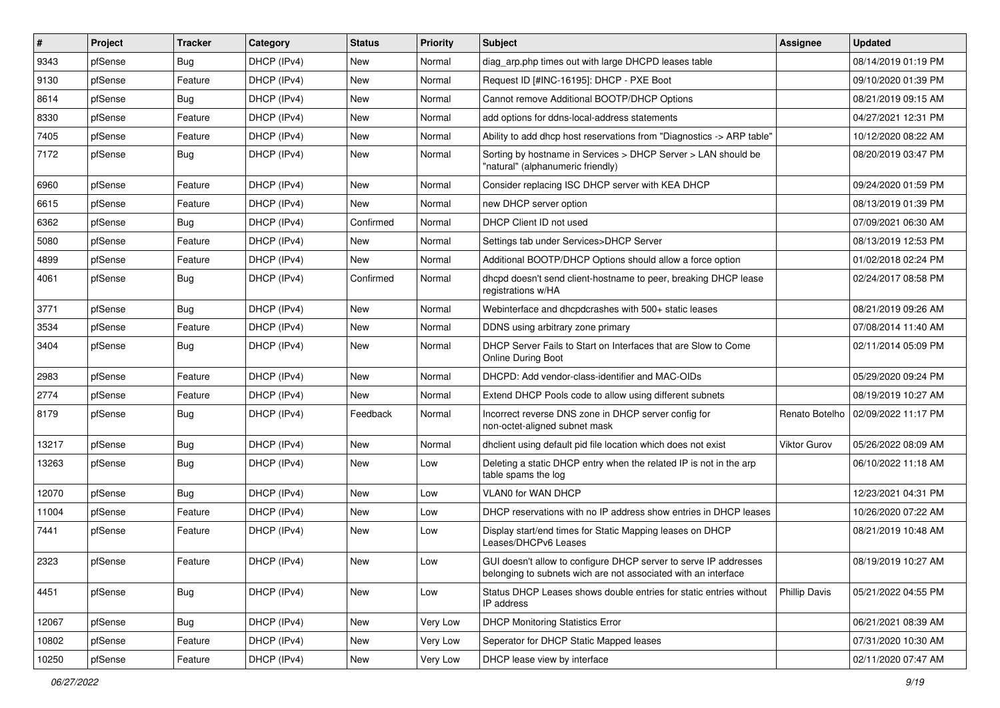| $\vert$ # | Project | <b>Tracker</b> | Category    | <b>Status</b> | <b>Priority</b> | Subject                                                                                                                            | <b>Assignee</b>      | <b>Updated</b>      |
|-----------|---------|----------------|-------------|---------------|-----------------|------------------------------------------------------------------------------------------------------------------------------------|----------------------|---------------------|
| 9343      | pfSense | Bug            | DHCP (IPv4) | New           | Normal          | diag arp.php times out with large DHCPD leases table                                                                               |                      | 08/14/2019 01:19 PM |
| 9130      | pfSense | Feature        | DHCP (IPv4) | <b>New</b>    | Normal          | Request ID [#INC-16195]: DHCP - PXE Boot                                                                                           |                      | 09/10/2020 01:39 PM |
| 8614      | pfSense | Bug            | DHCP (IPv4) | New           | Normal          | Cannot remove Additional BOOTP/DHCP Options                                                                                        |                      | 08/21/2019 09:15 AM |
| 8330      | pfSense | Feature        | DHCP (IPv4) | <b>New</b>    | Normal          | add options for ddns-local-address statements                                                                                      |                      | 04/27/2021 12:31 PM |
| 7405      | pfSense | Feature        | DHCP (IPv4) | <b>New</b>    | Normal          | Ability to add dhcp host reservations from "Diagnostics -> ARP table"                                                              |                      | 10/12/2020 08:22 AM |
| 7172      | pfSense | Bug            | DHCP (IPv4) | <b>New</b>    | Normal          | Sorting by hostname in Services > DHCP Server > LAN should be<br>"natural" (alphanumeric friendly)                                 |                      | 08/20/2019 03:47 PM |
| 6960      | pfSense | Feature        | DHCP (IPv4) | <b>New</b>    | Normal          | Consider replacing ISC DHCP server with KEA DHCP                                                                                   |                      | 09/24/2020 01:59 PM |
| 6615      | pfSense | Feature        | DHCP (IPv4) | New           | Normal          | new DHCP server option                                                                                                             |                      | 08/13/2019 01:39 PM |
| 6362      | pfSense | Bug            | DHCP (IPv4) | Confirmed     | Normal          | DHCP Client ID not used                                                                                                            |                      | 07/09/2021 06:30 AM |
| 5080      | pfSense | Feature        | DHCP (IPv4) | New           | Normal          | Settings tab under Services>DHCP Server                                                                                            |                      | 08/13/2019 12:53 PM |
| 4899      | pfSense | Feature        | DHCP (IPv4) | <b>New</b>    | Normal          | Additional BOOTP/DHCP Options should allow a force option                                                                          |                      | 01/02/2018 02:24 PM |
| 4061      | pfSense | Bug            | DHCP (IPv4) | Confirmed     | Normal          | dhcpd doesn't send client-hostname to peer, breaking DHCP lease<br>registrations w/HA                                              |                      | 02/24/2017 08:58 PM |
| 3771      | pfSense | Bug            | DHCP (IPv4) | <b>New</b>    | Normal          | Webinterface and dhcpdcrashes with 500+ static leases                                                                              |                      | 08/21/2019 09:26 AM |
| 3534      | pfSense | Feature        | DHCP (IPv4) | <b>New</b>    | Normal          | DDNS using arbitrary zone primary                                                                                                  |                      | 07/08/2014 11:40 AM |
| 3404      | pfSense | <b>Bug</b>     | DHCP (IPv4) | <b>New</b>    | Normal          | DHCP Server Fails to Start on Interfaces that are Slow to Come<br>Online During Boot                                               |                      | 02/11/2014 05:09 PM |
| 2983      | pfSense | Feature        | DHCP (IPv4) | New           | Normal          | DHCPD: Add vendor-class-identifier and MAC-OIDs                                                                                    |                      | 05/29/2020 09:24 PM |
| 2774      | pfSense | Feature        | DHCP (IPv4) | <b>New</b>    | Normal          | Extend DHCP Pools code to allow using different subnets                                                                            |                      | 08/19/2019 10:27 AM |
| 8179      | pfSense | <b>Bug</b>     | DHCP (IPv4) | Feedback      | Normal          | Incorrect reverse DNS zone in DHCP server config for<br>non-octet-aligned subnet mask                                              | Renato Botelho       | 02/09/2022 11:17 PM |
| 13217     | pfSense | Bug            | DHCP (IPv4) | <b>New</b>    | Normal          | dholient using default pid file location which does not exist                                                                      | Viktor Gurov         | 05/26/2022 08:09 AM |
| 13263     | pfSense | <b>Bug</b>     | DHCP (IPv4) | <b>New</b>    | Low             | Deleting a static DHCP entry when the related IP is not in the arp<br>table spams the log                                          |                      | 06/10/2022 11:18 AM |
| 12070     | pfSense | Bug            | DHCP (IPv4) | <b>New</b>    | Low             | VLAN0 for WAN DHCP                                                                                                                 |                      | 12/23/2021 04:31 PM |
| 11004     | pfSense | Feature        | DHCP (IPv4) | New           | Low             | DHCP reservations with no IP address show entries in DHCP leases                                                                   |                      | 10/26/2020 07:22 AM |
| 7441      | pfSense | Feature        | DHCP (IPv4) | <b>New</b>    | Low             | Display start/end times for Static Mapping leases on DHCP<br>Leases/DHCPv6 Leases                                                  |                      | 08/21/2019 10:48 AM |
| 2323      | pfSense | Feature        | DHCP (IPv4) | New           | Low             | GUI doesn't allow to configure DHCP server to serve IP addresses<br>belonging to subnets wich are not associated with an interface |                      | 08/19/2019 10:27 AM |
| 4451      | pfSense | Bug            | DHCP (IPv4) | New           | Low             | Status DHCP Leases shows double entries for static entries without<br>IP address                                                   | <b>Phillip Davis</b> | 05/21/2022 04:55 PM |
| 12067     | pfSense | Bug            | DHCP (IPv4) | New           | Very Low        | <b>DHCP Monitoring Statistics Error</b>                                                                                            |                      | 06/21/2021 08:39 AM |
| 10802     | pfSense | Feature        | DHCP (IPv4) | New           | Very Low        | Seperator for DHCP Static Mapped leases                                                                                            |                      | 07/31/2020 10:30 AM |
| 10250     | pfSense | Feature        | DHCP (IPv4) | New           | Very Low        | DHCP lease view by interface                                                                                                       |                      | 02/11/2020 07:47 AM |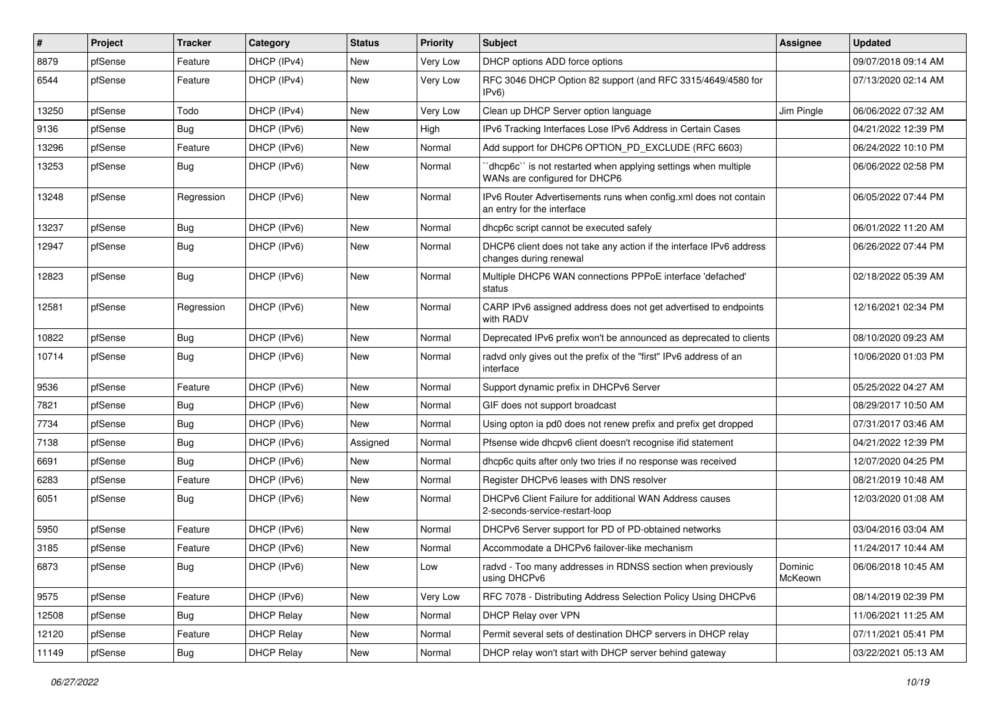| ∦     | Project | <b>Tracker</b> | Category          | <b>Status</b> | <b>Priority</b> | Subject                                                                                         | <b>Assignee</b>    | <b>Updated</b>      |
|-------|---------|----------------|-------------------|---------------|-----------------|-------------------------------------------------------------------------------------------------|--------------------|---------------------|
| 8879  | pfSense | Feature        | DHCP (IPv4)       | New           | Very Low        | DHCP options ADD force options                                                                  |                    | 09/07/2018 09:14 AM |
| 6544  | pfSense | Feature        | DHCP (IPv4)       | <b>New</b>    | Very Low        | RFC 3046 DHCP Option 82 support (and RFC 3315/4649/4580 for<br>IPv6                             |                    | 07/13/2020 02:14 AM |
| 13250 | pfSense | Todo           | DHCP (IPv4)       | <b>New</b>    | Very Low        | Clean up DHCP Server option language                                                            | Jim Pingle         | 06/06/2022 07:32 AM |
| 9136  | pfSense | Bug            | DHCP (IPv6)       | <b>New</b>    | High            | IPv6 Tracking Interfaces Lose IPv6 Address in Certain Cases                                     |                    | 04/21/2022 12:39 PM |
| 13296 | pfSense | Feature        | DHCP (IPv6)       | <b>New</b>    | Normal          | Add support for DHCP6 OPTION_PD_EXCLUDE (RFC 6603)                                              |                    | 06/24/2022 10:10 PM |
| 13253 | pfSense | Bug            | DHCP (IPv6)       | New           | Normal          | 'dhcp6c' is not restarted when applying settings when multiple<br>WANs are configured for DHCP6 |                    | 06/06/2022 02:58 PM |
| 13248 | pfSense | Regression     | DHCP (IPv6)       | <b>New</b>    | Normal          | IPv6 Router Advertisements runs when config.xml does not contain<br>an entry for the interface  |                    | 06/05/2022 07:44 PM |
| 13237 | pfSense | Bug            | DHCP (IPv6)       | New           | Normal          | dhcp6c script cannot be executed safely                                                         |                    | 06/01/2022 11:20 AM |
| 12947 | pfSense | <b>Bug</b>     | DHCP (IPv6)       | New           | Normal          | DHCP6 client does not take any action if the interface IPv6 address<br>changes during renewal   |                    | 06/26/2022 07:44 PM |
| 12823 | pfSense | Bug            | DHCP (IPv6)       | New           | Normal          | Multiple DHCP6 WAN connections PPPoE interface 'defached'<br>status                             |                    | 02/18/2022 05:39 AM |
| 12581 | pfSense | Regression     | DHCP (IPv6)       | <b>New</b>    | Normal          | CARP IPv6 assigned address does not get advertised to endpoints<br>with RADV                    |                    | 12/16/2021 02:34 PM |
| 10822 | pfSense | Bug            | DHCP (IPv6)       | <b>New</b>    | Normal          | Deprecated IPv6 prefix won't be announced as deprecated to clients                              |                    | 08/10/2020 09:23 AM |
| 10714 | pfSense | Bug            | DHCP (IPv6)       | New           | Normal          | radvd only gives out the prefix of the "first" IPv6 address of an<br>interface                  |                    | 10/06/2020 01:03 PM |
| 9536  | pfSense | Feature        | DHCP (IPv6)       | <b>New</b>    | Normal          | Support dynamic prefix in DHCPv6 Server                                                         |                    | 05/25/2022 04:27 AM |
| 7821  | pfSense | Bug            | DHCP (IPv6)       | New           | Normal          | GIF does not support broadcast                                                                  |                    | 08/29/2017 10:50 AM |
| 7734  | pfSense | <b>Bug</b>     | DHCP (IPv6)       | New           | Normal          | Using opton ia pd0 does not renew prefix and prefix get dropped                                 |                    | 07/31/2017 03:46 AM |
| 7138  | pfSense | Bug            | DHCP (IPv6)       | Assigned      | Normal          | Pfsense wide dhcpv6 client doesn't recognise ifid statement                                     |                    | 04/21/2022 12:39 PM |
| 6691  | pfSense | Bug            | DHCP (IPv6)       | New           | Normal          | dhcp6c quits after only two tries if no response was received                                   |                    | 12/07/2020 04:25 PM |
| 6283  | pfSense | Feature        | DHCP (IPv6)       | New           | Normal          | Register DHCPv6 leases with DNS resolver                                                        |                    | 08/21/2019 10:48 AM |
| 6051  | pfSense | Bug            | DHCP (IPv6)       | New           | Normal          | DHCPv6 Client Failure for additional WAN Address causes<br>2-seconds-service-restart-loop       |                    | 12/03/2020 01:08 AM |
| 5950  | pfSense | Feature        | DHCP (IPv6)       | <b>New</b>    | Normal          | DHCPv6 Server support for PD of PD-obtained networks                                            |                    | 03/04/2016 03:04 AM |
| 3185  | pfSense | Feature        | DHCP (IPv6)       | New           | Normal          | Accommodate a DHCPv6 failover-like mechanism                                                    |                    | 11/24/2017 10:44 AM |
| 6873  | pfSense | <b>Bug</b>     | DHCP (IPv6)       | New           | LOW             | radvd - Too many addresses in RDNSS section when previously<br>using DHCPv6                     | Dominic<br>McKeown | 06/06/2018 10:45 AM |
| 9575  | pfSense | Feature        | DHCP (IPv6)       | New           | Very Low        | RFC 7078 - Distributing Address Selection Policy Using DHCPv6                                   |                    | 08/14/2019 02:39 PM |
| 12508 | pfSense | <b>Bug</b>     | <b>DHCP Relay</b> | New           | Normal          | DHCP Relay over VPN                                                                             |                    | 11/06/2021 11:25 AM |
| 12120 | pfSense | Feature        | <b>DHCP Relay</b> | New           | Normal          | Permit several sets of destination DHCP servers in DHCP relay                                   |                    | 07/11/2021 05:41 PM |
| 11149 | pfSense | Bug            | <b>DHCP Relay</b> | New           | Normal          | DHCP relay won't start with DHCP server behind gateway                                          |                    | 03/22/2021 05:13 AM |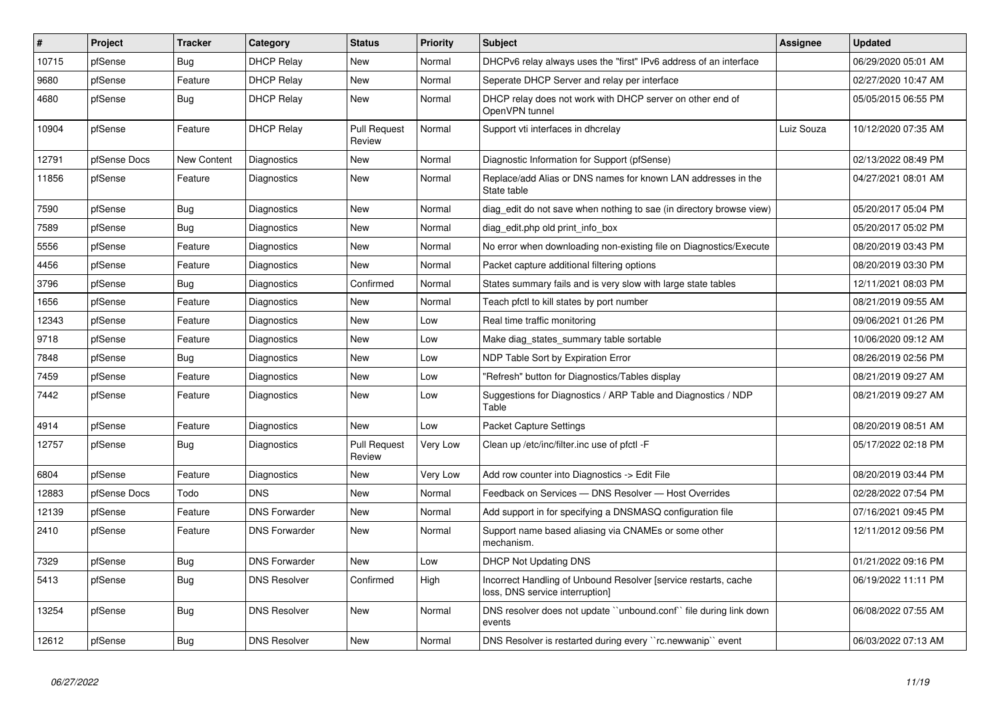| #     | <b>Project</b> | <b>Tracker</b> | Category             | <b>Status</b>                 | Priority | <b>Subject</b>                                                                                     | Assignee   | <b>Updated</b>      |
|-------|----------------|----------------|----------------------|-------------------------------|----------|----------------------------------------------------------------------------------------------------|------------|---------------------|
| 10715 | pfSense        | Bug            | <b>DHCP Relay</b>    | <b>New</b>                    | Normal   | DHCPv6 relay always uses the "first" IPv6 address of an interface                                  |            | 06/29/2020 05:01 AM |
| 9680  | pfSense        | Feature        | <b>DHCP Relay</b>    | New                           | Normal   | Seperate DHCP Server and relay per interface                                                       |            | 02/27/2020 10:47 AM |
| 4680  | pfSense        | Bug            | <b>DHCP Relay</b>    | <b>New</b>                    | Normal   | DHCP relay does not work with DHCP server on other end of<br>OpenVPN tunnel                        |            | 05/05/2015 06:55 PM |
| 10904 | pfSense        | Feature        | <b>DHCP Relay</b>    | <b>Pull Request</b><br>Review | Normal   | Support vti interfaces in dhcrelay                                                                 | Luiz Souza | 10/12/2020 07:35 AM |
| 12791 | pfSense Docs   | New Content    | Diagnostics          | New                           | Normal   | Diagnostic Information for Support (pfSense)                                                       |            | 02/13/2022 08:49 PM |
| 11856 | pfSense        | Feature        | Diagnostics          | New                           | Normal   | Replace/add Alias or DNS names for known LAN addresses in the<br>State table                       |            | 04/27/2021 08:01 AM |
| 7590  | pfSense        | <b>Bug</b>     | Diagnostics          | New                           | Normal   | diag edit do not save when nothing to sae (in directory browse view)                               |            | 05/20/2017 05:04 PM |
| 7589  | pfSense        | Bug            | Diagnostics          | <b>New</b>                    | Normal   | diag edit.php old print info box                                                                   |            | 05/20/2017 05:02 PM |
| 5556  | pfSense        | Feature        | Diagnostics          | <b>New</b>                    | Normal   | No error when downloading non-existing file on Diagnostics/Execute                                 |            | 08/20/2019 03:43 PM |
| 4456  | pfSense        | Feature        | Diagnostics          | New                           | Normal   | Packet capture additional filtering options                                                        |            | 08/20/2019 03:30 PM |
| 3796  | pfSense        | Bug            | Diagnostics          | Confirmed                     | Normal   | States summary fails and is very slow with large state tables                                      |            | 12/11/2021 08:03 PM |
| 1656  | pfSense        | Feature        | Diagnostics          | <b>New</b>                    | Normal   | Teach pfctl to kill states by port number                                                          |            | 08/21/2019 09:55 AM |
| 12343 | pfSense        | Feature        | Diagnostics          | <b>New</b>                    | Low      | Real time traffic monitoring                                                                       |            | 09/06/2021 01:26 PM |
| 9718  | pfSense        | Feature        | Diagnostics          | New                           | Low      | Make diag states summary table sortable                                                            |            | 10/06/2020 09:12 AM |
| 7848  | pfSense        | Bug            | Diagnostics          | New                           | Low      | NDP Table Sort by Expiration Error                                                                 |            | 08/26/2019 02:56 PM |
| 7459  | pfSense        | Feature        | Diagnostics          | <b>New</b>                    | Low      | "Refresh" button for Diagnostics/Tables display                                                    |            | 08/21/2019 09:27 AM |
| 7442  | pfSense        | Feature        | Diagnostics          | <b>New</b>                    | Low      | Suggestions for Diagnostics / ARP Table and Diagnostics / NDP<br>Table                             |            | 08/21/2019 09:27 AM |
| 4914  | pfSense        | Feature        | Diagnostics          | <b>New</b>                    | Low      | <b>Packet Capture Settings</b>                                                                     |            | 08/20/2019 08:51 AM |
| 12757 | pfSense        | <b>Bug</b>     | Diagnostics          | <b>Pull Request</b><br>Review | Very Low | Clean up /etc/inc/filter.inc use of pfctl -F                                                       |            | 05/17/2022 02:18 PM |
| 6804  | pfSense        | Feature        | Diagnostics          | New                           | Very Low | Add row counter into Diagnostics -> Edit File                                                      |            | 08/20/2019 03:44 PM |
| 12883 | pfSense Docs   | Todo           | <b>DNS</b>           | <b>New</b>                    | Normal   | Feedback on Services - DNS Resolver - Host Overrides                                               |            | 02/28/2022 07:54 PM |
| 12139 | pfSense        | Feature        | <b>DNS Forwarder</b> | <b>New</b>                    | Normal   | Add support in for specifying a DNSMASQ configuration file                                         |            | 07/16/2021 09:45 PM |
| 2410  | pfSense        | Feature        | <b>DNS Forwarder</b> | <b>New</b>                    | Normal   | Support name based aliasing via CNAMEs or some other<br>mechanism.                                 |            | 12/11/2012 09:56 PM |
| 7329  | pfSense        | Bug            | <b>DNS Forwarder</b> | <b>New</b>                    | Low      | <b>DHCP Not Updating DNS</b>                                                                       |            | 01/21/2022 09:16 PM |
| 5413  | pfSense        | <b>Bug</b>     | <b>DNS Resolver</b>  | Confirmed                     | High     | Incorrect Handling of Unbound Resolver [service restarts, cache<br>loss, DNS service interruption] |            | 06/19/2022 11:11 PM |
| 13254 | pfSense        | <b>Bug</b>     | <b>DNS Resolver</b>  | <b>New</b>                    | Normal   | DNS resolver does not update "unbound.conf" file during link down<br>events                        |            | 06/08/2022 07:55 AM |
| 12612 | pfSense        | Bug            | <b>DNS Resolver</b>  | New                           | Normal   | DNS Resolver is restarted during every "rc.newwanip" event                                         |            | 06/03/2022 07:13 AM |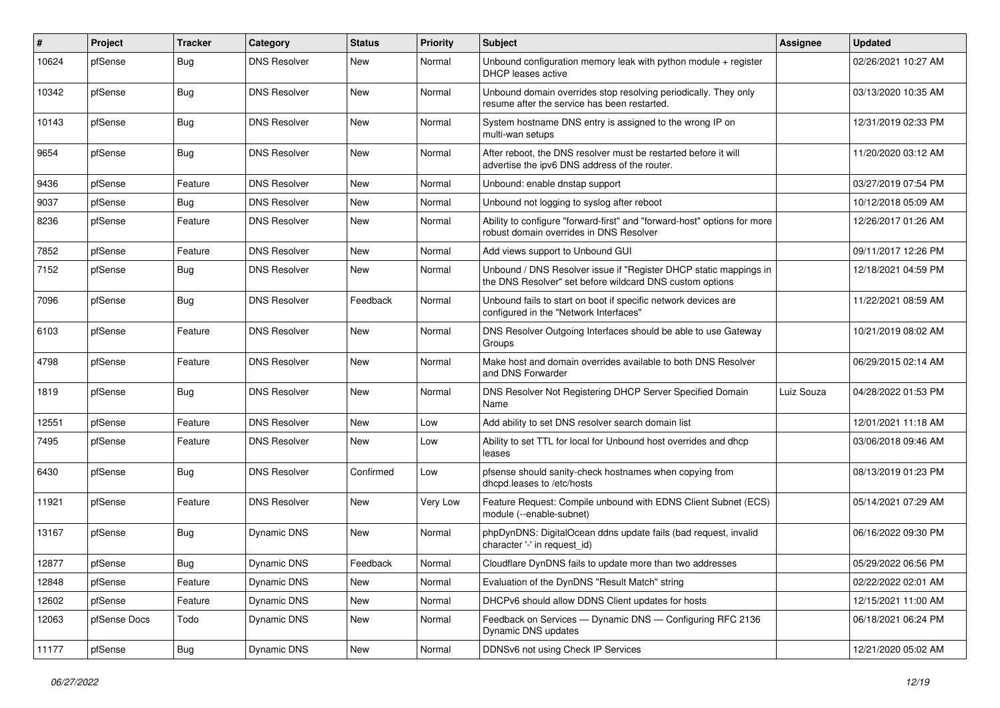| $\vert$ # | Project      | <b>Tracker</b> | Category            | <b>Status</b> | <b>Priority</b> | Subject                                                                                                                       | Assignee   | <b>Updated</b>      |
|-----------|--------------|----------------|---------------------|---------------|-----------------|-------------------------------------------------------------------------------------------------------------------------------|------------|---------------------|
| 10624     | pfSense      | <b>Bug</b>     | <b>DNS Resolver</b> | <b>New</b>    | Normal          | Unbound configuration memory leak with python module + register<br>DHCP leases active                                         |            | 02/26/2021 10:27 AM |
| 10342     | pfSense      | Bug            | <b>DNS Resolver</b> | New           | Normal          | Unbound domain overrides stop resolving periodically. They only<br>resume after the service has been restarted.               |            | 03/13/2020 10:35 AM |
| 10143     | pfSense      | <b>Bug</b>     | <b>DNS Resolver</b> | <b>New</b>    | Normal          | System hostname DNS entry is assigned to the wrong IP on<br>multi-wan setups                                                  |            | 12/31/2019 02:33 PM |
| 9654      | pfSense      | Bug            | <b>DNS Resolver</b> | <b>New</b>    | Normal          | After reboot, the DNS resolver must be restarted before it will<br>advertise the ipv6 DNS address of the router.              |            | 11/20/2020 03:12 AM |
| 9436      | pfSense      | Feature        | <b>DNS Resolver</b> | <b>New</b>    | Normal          | Unbound: enable dnstap support                                                                                                |            | 03/27/2019 07:54 PM |
| 9037      | pfSense      | Bug            | <b>DNS Resolver</b> | <b>New</b>    | Normal          | Unbound not logging to syslog after reboot                                                                                    |            | 10/12/2018 05:09 AM |
| 8236      | pfSense      | Feature        | <b>DNS Resolver</b> | New           | Normal          | Ability to configure "forward-first" and "forward-host" options for more<br>robust domain overrides in DNS Resolver           |            | 12/26/2017 01:26 AM |
| 7852      | pfSense      | Feature        | <b>DNS Resolver</b> | <b>New</b>    | Normal          | Add views support to Unbound GUI                                                                                              |            | 09/11/2017 12:26 PM |
| 7152      | pfSense      | Bug            | <b>DNS Resolver</b> | New           | Normal          | Unbound / DNS Resolver issue if "Register DHCP static mappings in<br>the DNS Resolver" set before wildcard DNS custom options |            | 12/18/2021 04:59 PM |
| 7096      | pfSense      | <b>Bug</b>     | <b>DNS Resolver</b> | Feedback      | Normal          | Unbound fails to start on boot if specific network devices are<br>configured in the "Network Interfaces"                      |            | 11/22/2021 08:59 AM |
| 6103      | pfSense      | Feature        | <b>DNS Resolver</b> | New           | Normal          | DNS Resolver Outgoing Interfaces should be able to use Gateway<br>Groups                                                      |            | 10/21/2019 08:02 AM |
| 4798      | pfSense      | Feature        | <b>DNS Resolver</b> | <b>New</b>    | Normal          | Make host and domain overrides available to both DNS Resolver<br>and DNS Forwarder                                            |            | 06/29/2015 02:14 AM |
| 1819      | pfSense      | Bug            | <b>DNS Resolver</b> | New           | Normal          | DNS Resolver Not Registering DHCP Server Specified Domain<br>Name                                                             | Luiz Souza | 04/28/2022 01:53 PM |
| 12551     | pfSense      | Feature        | <b>DNS Resolver</b> | <b>New</b>    | Low             | Add ability to set DNS resolver search domain list                                                                            |            | 12/01/2021 11:18 AM |
| 7495      | pfSense      | Feature        | <b>DNS Resolver</b> | New           | Low             | Ability to set TTL for local for Unbound host overrides and dhcp<br>leases                                                    |            | 03/06/2018 09:46 AM |
| 6430      | pfSense      | Bug            | <b>DNS Resolver</b> | Confirmed     | Low             | pfsense should sanity-check hostnames when copying from<br>dhcpd.leases to /etc/hosts                                         |            | 08/13/2019 01:23 PM |
| 11921     | pfSense      | Feature        | <b>DNS Resolver</b> | New           | Very Low        | Feature Request: Compile unbound with EDNS Client Subnet (ECS)<br>module (--enable-subnet)                                    |            | 05/14/2021 07:29 AM |
| 13167     | pfSense      | Bug            | Dynamic DNS         | New           | Normal          | phpDynDNS: DigitalOcean ddns update fails (bad request, invalid<br>character '-' in request id)                               |            | 06/16/2022 09:30 PM |
| 12877     | pfSense      | Bug            | Dynamic DNS         | Feedback      | Normal          | Cloudflare DynDNS fails to update more than two addresses                                                                     |            | 05/29/2022 06:56 PM |
| 12848     | pfSense      | Feature        | Dynamic DNS         | New           | Normal          | Evaluation of the DynDNS "Result Match" string                                                                                |            | 02/22/2022 02:01 AM |
| 12602     | pfSense      | Feature        | Dynamic DNS         | New           | Normal          | DHCPv6 should allow DDNS Client updates for hosts                                                                             |            | 12/15/2021 11:00 AM |
| 12063     | pfSense Docs | Todo           | Dynamic DNS         | New           | Normal          | Feedback on Services - Dynamic DNS - Configuring RFC 2136<br>Dynamic DNS updates                                              |            | 06/18/2021 06:24 PM |
| 11177     | pfSense      | Bug            | Dynamic DNS         | New           | Normal          | DDNSv6 not using Check IP Services                                                                                            |            | 12/21/2020 05:02 AM |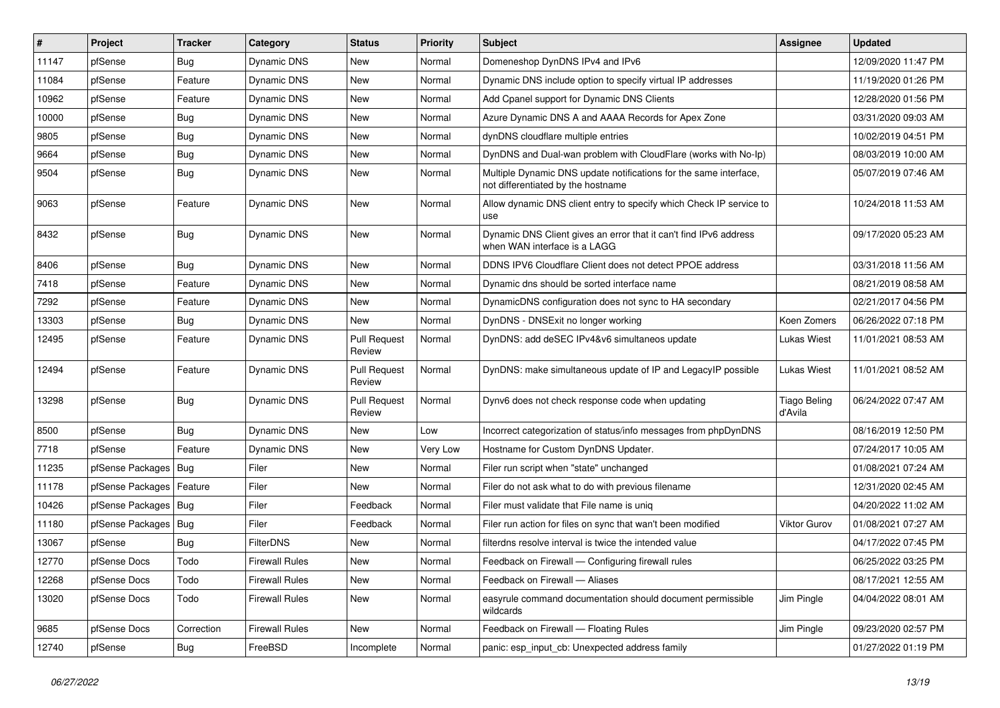| #     | Project                | <b>Tracker</b> | Category              | <b>Status</b>                 | <b>Priority</b> | <b>Subject</b>                                                                                          | Assignee                       | <b>Updated</b>      |
|-------|------------------------|----------------|-----------------------|-------------------------------|-----------------|---------------------------------------------------------------------------------------------------------|--------------------------------|---------------------|
| 11147 | pfSense                | Bug            | Dynamic DNS           | New                           | Normal          | Domeneshop DynDNS IPv4 and IPv6                                                                         |                                | 12/09/2020 11:47 PM |
| 11084 | pfSense                | Feature        | Dynamic DNS           | New                           | Normal          | Dynamic DNS include option to specify virtual IP addresses                                              |                                | 11/19/2020 01:26 PM |
| 10962 | pfSense                | Feature        | Dynamic DNS           | New                           | Normal          | Add Cpanel support for Dynamic DNS Clients                                                              |                                | 12/28/2020 01:56 PM |
| 10000 | pfSense                | <b>Bug</b>     | Dynamic DNS           | <b>New</b>                    | Normal          | Azure Dynamic DNS A and AAAA Records for Apex Zone                                                      |                                | 03/31/2020 09:03 AM |
| 9805  | pfSense                | <b>Bug</b>     | Dynamic DNS           | New                           | Normal          | dynDNS cloudflare multiple entries                                                                      |                                | 10/02/2019 04:51 PM |
| 9664  | pfSense                | <b>Bug</b>     | Dynamic DNS           | New                           | Normal          | DynDNS and Dual-wan problem with CloudFlare (works with No-Ip)                                          |                                | 08/03/2019 10:00 AM |
| 9504  | pfSense                | Bug            | Dynamic DNS           | New                           | Normal          | Multiple Dynamic DNS update notifications for the same interface,<br>not differentiated by the hostname |                                | 05/07/2019 07:46 AM |
| 9063  | pfSense                | Feature        | Dynamic DNS           | New                           | Normal          | Allow dynamic DNS client entry to specify which Check IP service to<br>use                              |                                | 10/24/2018 11:53 AM |
| 8432  | pfSense                | <b>Bug</b>     | Dynamic DNS           | New                           | Normal          | Dynamic DNS Client gives an error that it can't find IPv6 address<br>when WAN interface is a LAGG       |                                | 09/17/2020 05:23 AM |
| 8406  | pfSense                | Bug            | Dynamic DNS           | <b>New</b>                    | Normal          | DDNS IPV6 Cloudflare Client does not detect PPOE address                                                |                                | 03/31/2018 11:56 AM |
| 7418  | pfSense                | Feature        | Dynamic DNS           | New                           | Normal          | Dynamic dns should be sorted interface name                                                             |                                | 08/21/2019 08:58 AM |
| 7292  | pfSense                | Feature        | Dynamic DNS           | New                           | Normal          | DynamicDNS configuration does not sync to HA secondary                                                  |                                | 02/21/2017 04:56 PM |
| 13303 | pfSense                | Bug            | Dynamic DNS           | <b>New</b>                    | Normal          | DynDNS - DNSExit no longer working                                                                      | Koen Zomers                    | 06/26/2022 07:18 PM |
| 12495 | pfSense                | Feature        | Dynamic DNS           | <b>Pull Request</b><br>Review | Normal          | DynDNS: add deSEC IPv4&v6 simultaneos update                                                            | Lukas Wiest                    | 11/01/2021 08:53 AM |
| 12494 | pfSense                | Feature        | Dynamic DNS           | <b>Pull Request</b><br>Review | Normal          | DynDNS: make simultaneous update of IP and LegacyIP possible                                            | Lukas Wiest                    | 11/01/2021 08:52 AM |
| 13298 | pfSense                | <b>Bug</b>     | Dynamic DNS           | <b>Pull Request</b><br>Review | Normal          | Dynv6 does not check response code when updating                                                        | <b>Tiago Beling</b><br>d'Avila | 06/24/2022 07:47 AM |
| 8500  | pfSense                | <b>Bug</b>     | Dynamic DNS           | <b>New</b>                    | Low             | Incorrect categorization of status/info messages from phpDynDNS                                         |                                | 08/16/2019 12:50 PM |
| 7718  | pfSense                | Feature        | Dynamic DNS           | New                           | Very Low        | Hostname for Custom DynDNS Updater.                                                                     |                                | 07/24/2017 10:05 AM |
| 11235 | pfSense Packages   Bug |                | Filer                 | New                           | Normal          | Filer run script when "state" unchanged                                                                 |                                | 01/08/2021 07:24 AM |
| 11178 | pfSense Packages       | Feature        | Filer                 | New                           | Normal          | Filer do not ask what to do with previous filename                                                      |                                | 12/31/2020 02:45 AM |
| 10426 | pfSense Packages   Bug |                | Filer                 | Feedback                      | Normal          | Filer must validate that File name is unig                                                              |                                | 04/20/2022 11:02 AM |
| 11180 | pfSense Packages   Bug |                | Filer                 | Feedback                      | Normal          | Filer run action for files on sync that wan't been modified                                             | Viktor Gurov                   | 01/08/2021 07:27 AM |
| 13067 | pfSense                | <b>Bug</b>     | FilterDNS             | New                           | Normal          | filterdns resolve interval is twice the intended value                                                  |                                | 04/17/2022 07:45 PM |
| 12770 | pfSense Docs           | Todo           | <b>Firewall Rules</b> | New                           | Normal          | Feedback on Firewall — Configuring firewall rules                                                       |                                | 06/25/2022 03:25 PM |
| 12268 | pfSense Docs           | Todo           | <b>Firewall Rules</b> | New                           | Normal          | Feedback on Firewall - Aliases                                                                          |                                | 08/17/2021 12:55 AM |
| 13020 | pfSense Docs           | Todo           | <b>Firewall Rules</b> | New                           | Normal          | easyrule command documentation should document permissible<br>wildcards                                 | Jim Pingle                     | 04/04/2022 08:01 AM |
| 9685  | pfSense Docs           | Correction     | <b>Firewall Rules</b> | New                           | Normal          | Feedback on Firewall - Floating Rules                                                                   | Jim Pingle                     | 09/23/2020 02:57 PM |
| 12740 | pfSense                | <b>Bug</b>     | FreeBSD               | Incomplete                    | Normal          | panic: esp_input_cb: Unexpected address family                                                          |                                | 01/27/2022 01:19 PM |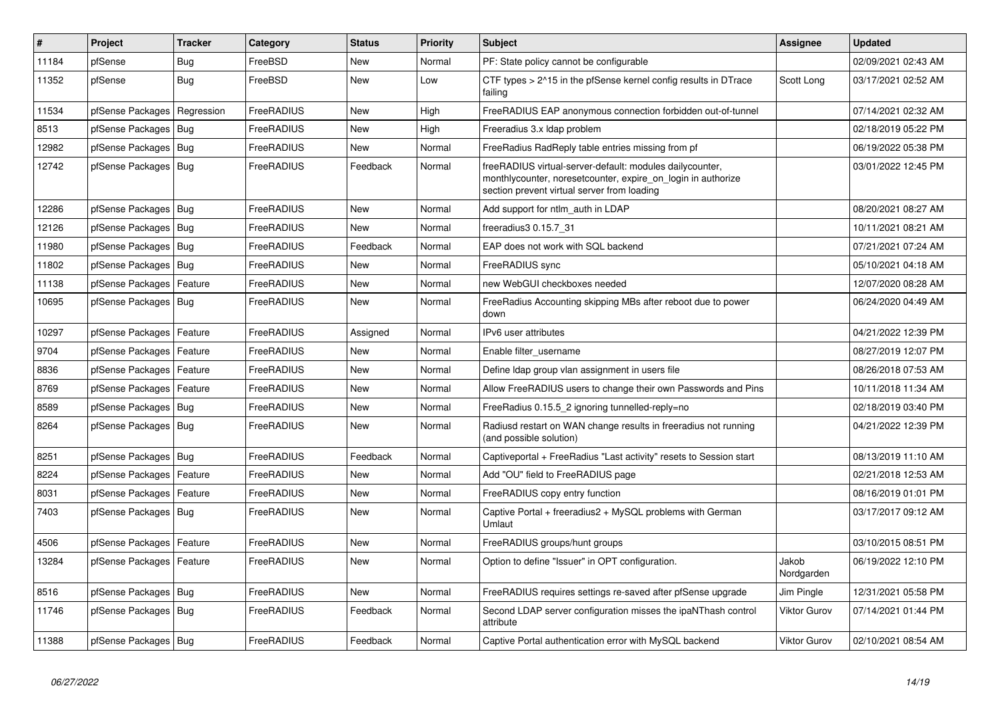| $\vert$ # | <b>Project</b>             | <b>Tracker</b> | Category   | <b>Status</b> | <b>Priority</b> | <b>Subject</b>                                                                                                                                                          | <b>Assignee</b>     | <b>Updated</b>      |
|-----------|----------------------------|----------------|------------|---------------|-----------------|-------------------------------------------------------------------------------------------------------------------------------------------------------------------------|---------------------|---------------------|
| 11184     | pfSense                    | Bug            | FreeBSD    | <b>New</b>    | Normal          | PF: State policy cannot be configurable                                                                                                                                 |                     | 02/09/2021 02:43 AM |
| 11352     | pfSense                    | Bug            | FreeBSD    | <b>New</b>    | Low             | CTF types > 2^15 in the pfSense kernel config results in DTrace<br>failing                                                                                              | Scott Long          | 03/17/2021 02:52 AM |
| 11534     | pfSense Packages           | Regression     | FreeRADIUS | New           | High            | FreeRADIUS EAP anonymous connection forbidden out-of-tunnel                                                                                                             |                     | 07/14/2021 02:32 AM |
| 8513      | pfSense Packages   Bug     |                | FreeRADIUS | <b>New</b>    | High            | Freeradius 3.x Idap problem                                                                                                                                             |                     | 02/18/2019 05:22 PM |
| 12982     | pfSense Packages   Bug     |                | FreeRADIUS | <b>New</b>    | Normal          | FreeRadius RadReply table entries missing from pf                                                                                                                       |                     | 06/19/2022 05:38 PM |
| 12742     | pfSense Packages   Bug     |                | FreeRADIUS | Feedback      | Normal          | freeRADIUS virtual-server-default: modules dailycounter,<br>monthlycounter, noresetcounter, expire on login in authorize<br>section prevent virtual server from loading |                     | 03/01/2022 12:45 PM |
| 12286     | pfSense Packages   Bug     |                | FreeRADIUS | New           | Normal          | Add support for ntlm auth in LDAP                                                                                                                                       |                     | 08/20/2021 08:27 AM |
| 12126     | pfSense Packages   Bug     |                | FreeRADIUS | <b>New</b>    | Normal          | freeradius3 0.15.7 31                                                                                                                                                   |                     | 10/11/2021 08:21 AM |
| 11980     | pfSense Packages   Bug     |                | FreeRADIUS | Feedback      | Normal          | EAP does not work with SQL backend                                                                                                                                      |                     | 07/21/2021 07:24 AM |
| 11802     | pfSense Packages   Bug     |                | FreeRADIUS | New           | Normal          | FreeRADIUS sync                                                                                                                                                         |                     | 05/10/2021 04:18 AM |
| 11138     | pfSense Packages           | Feature        | FreeRADIUS | <b>New</b>    | Normal          | new WebGUI checkboxes needed                                                                                                                                            |                     | 12/07/2020 08:28 AM |
| 10695     | pfSense Packages   Bug     |                | FreeRADIUS | New           | Normal          | Free Radius Accounting skipping MBs after reboot due to power<br>down                                                                                                   |                     | 06/24/2020 04:49 AM |
| 10297     | pfSense Packages           | Feature        | FreeRADIUS | Assigned      | Normal          | IPv6 user attributes                                                                                                                                                    |                     | 04/21/2022 12:39 PM |
| 9704      | pfSense Packages           | Feature        | FreeRADIUS | New           | Normal          | Enable filter username                                                                                                                                                  |                     | 08/27/2019 12:07 PM |
| 8836      | pfSense Packages   Feature |                | FreeRADIUS | New           | Normal          | Define Idap group vlan assignment in users file                                                                                                                         |                     | 08/26/2018 07:53 AM |
| 8769      | pfSense Packages           | Feature        | FreeRADIUS | New           | Normal          | Allow FreeRADIUS users to change their own Passwords and Pins                                                                                                           |                     | 10/11/2018 11:34 AM |
| 8589      | pfSense Packages   Bug     |                | FreeRADIUS | New           | Normal          | FreeRadius 0.15.5_2 ignoring tunnelled-reply=no                                                                                                                         |                     | 02/18/2019 03:40 PM |
| 8264      | pfSense Packages   Bug     |                | FreeRADIUS | New           | Normal          | Radiusd restart on WAN change results in freeradius not running<br>(and possible solution)                                                                              |                     | 04/21/2022 12:39 PM |
| 8251      | pfSense Packages   Bug     |                | FreeRADIUS | Feedback      | Normal          | Captiveportal + FreeRadius "Last activity" resets to Session start                                                                                                      |                     | 08/13/2019 11:10 AM |
| 8224      | pfSense Packages           | Feature        | FreeRADIUS | <b>New</b>    | Normal          | Add "OU" field to FreeRADIUS page                                                                                                                                       |                     | 02/21/2018 12:53 AM |
| 8031      | pfSense Packages           | Feature        | FreeRADIUS | New           | Normal          | FreeRADIUS copy entry function                                                                                                                                          |                     | 08/16/2019 01:01 PM |
| 7403      | pfSense Packages   Bug     |                | FreeRADIUS | <b>New</b>    | Normal          | Captive Portal + freeradius2 + MySQL problems with German<br>Umlaut                                                                                                     |                     | 03/17/2017 09:12 AM |
| 4506      | pfSense Packages           | Feature        | FreeRADIUS | <b>New</b>    | Normal          | FreeRADIUS groups/hunt groups                                                                                                                                           |                     | 03/10/2015 08:51 PM |
| 13284     | pfSense Packages           | Feature        | FreeRADIUS | <b>New</b>    | Normal          | Option to define "Issuer" in OPT configuration.                                                                                                                         | Jakob<br>Nordgarden | 06/19/2022 12:10 PM |
| 8516      | pfSense Packages   Bug     |                | FreeRADIUS | <b>New</b>    | Normal          | FreeRADIUS requires settings re-saved after pfSense upgrade                                                                                                             | Jim Pingle          | 12/31/2021 05:58 PM |
| 11746     | pfSense Packages   Bug     |                | FreeRADIUS | Feedback      | Normal          | Second LDAP server configuration misses the ipaNThash control<br>attribute                                                                                              | <b>Viktor Gurov</b> | 07/14/2021 01:44 PM |
| 11388     | pfSense Packages   Bug     |                | FreeRADIUS | Feedback      | Normal          | Captive Portal authentication error with MySQL backend                                                                                                                  | <b>Viktor Gurov</b> | 02/10/2021 08:54 AM |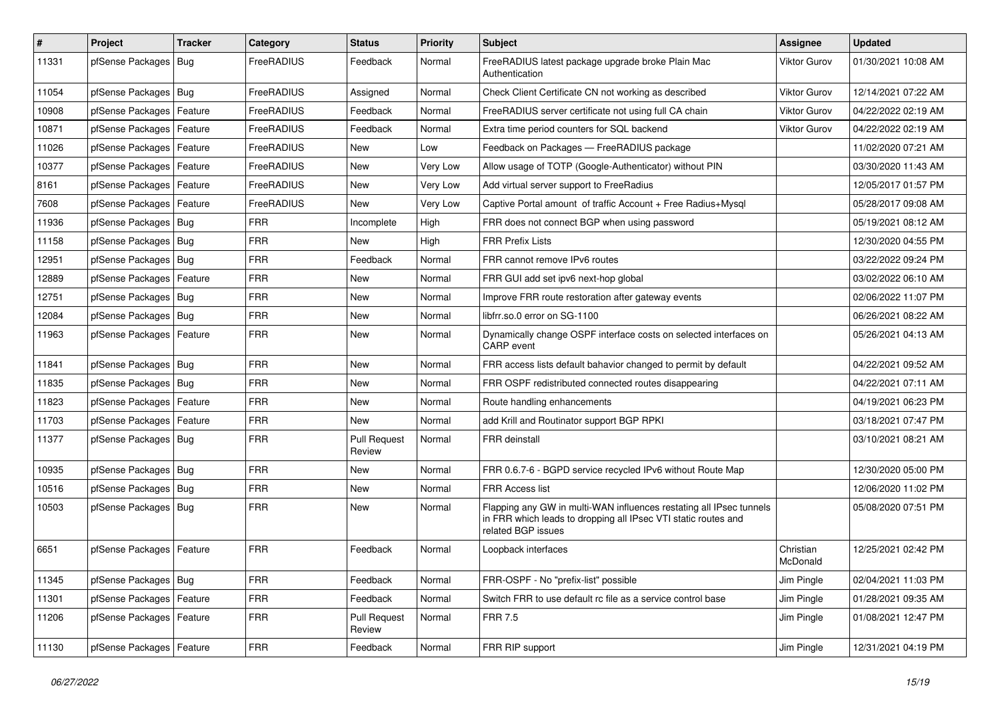| $\vert$ # | Project                    | <b>Tracker</b> | Category   | <b>Status</b>                 | <b>Priority</b> | <b>Subject</b>                                                                                                                                              | Assignee              | <b>Updated</b>      |
|-----------|----------------------------|----------------|------------|-------------------------------|-----------------|-------------------------------------------------------------------------------------------------------------------------------------------------------------|-----------------------|---------------------|
| 11331     | pfSense Packages           | Bug            | FreeRADIUS | Feedback                      | Normal          | FreeRADIUS latest package upgrade broke Plain Mac<br>Authentication                                                                                         | <b>Viktor Gurov</b>   | 01/30/2021 10:08 AM |
| 11054     | pfSense Packages   Bug     |                | FreeRADIUS | Assigned                      | Normal          | Check Client Certificate CN not working as described                                                                                                        | Viktor Gurov          | 12/14/2021 07:22 AM |
| 10908     | pfSense Packages   Feature |                | FreeRADIUS | Feedback                      | Normal          | FreeRADIUS server certificate not using full CA chain                                                                                                       | Viktor Gurov          | 04/22/2022 02:19 AM |
| 10871     | pfSense Packages   Feature |                | FreeRADIUS | Feedback                      | Normal          | Extra time period counters for SQL backend                                                                                                                  | Viktor Gurov          | 04/22/2022 02:19 AM |
| 11026     | pfSense Packages           | Feature        | FreeRADIUS | New                           | Low             | Feedback on Packages - FreeRADIUS package                                                                                                                   |                       | 11/02/2020 07:21 AM |
| 10377     | pfSense Packages   Feature |                | FreeRADIUS | New                           | Very Low        | Allow usage of TOTP (Google-Authenticator) without PIN                                                                                                      |                       | 03/30/2020 11:43 AM |
| 8161      | pfSense Packages   Feature |                | FreeRADIUS | New                           | Very Low        | Add virtual server support to FreeRadius                                                                                                                    |                       | 12/05/2017 01:57 PM |
| 7608      | pfSense Packages   Feature |                | FreeRADIUS | <b>New</b>                    | Very Low        | Captive Portal amount of traffic Account + Free Radius+Mysql                                                                                                |                       | 05/28/2017 09:08 AM |
| 11936     | pfSense Packages   Bug     |                | <b>FRR</b> | Incomplete                    | High            | FRR does not connect BGP when using password                                                                                                                |                       | 05/19/2021 08:12 AM |
| 11158     | pfSense Packages   Bug     |                | <b>FRR</b> | New                           | High            | <b>FRR Prefix Lists</b>                                                                                                                                     |                       | 12/30/2020 04:55 PM |
| 12951     | pfSense Packages   Bug     |                | <b>FRR</b> | Feedback                      | Normal          | FRR cannot remove IPv6 routes                                                                                                                               |                       | 03/22/2022 09:24 PM |
| 12889     | pfSense Packages   Feature |                | <b>FRR</b> | New                           | Normal          | FRR GUI add set ipv6 next-hop global                                                                                                                        |                       | 03/02/2022 06:10 AM |
| 12751     | pfSense Packages   Bug     |                | <b>FRR</b> | New                           | Normal          | Improve FRR route restoration after gateway events                                                                                                          |                       | 02/06/2022 11:07 PM |
| 12084     | pfSense Packages   Bug     |                | <b>FRR</b> | <b>New</b>                    | Normal          | libfrr.so.0 error on SG-1100                                                                                                                                |                       | 06/26/2021 08:22 AM |
| 11963     | pfSense Packages   Feature |                | <b>FRR</b> | New                           | Normal          | Dynamically change OSPF interface costs on selected interfaces on<br><b>CARP</b> event                                                                      |                       | 05/26/2021 04:13 AM |
| 11841     | pfSense Packages   Bug     |                | <b>FRR</b> | <b>New</b>                    | Normal          | FRR access lists default bahavior changed to permit by default                                                                                              |                       | 04/22/2021 09:52 AM |
| 11835     | pfSense Packages   Bug     |                | <b>FRR</b> | New                           | Normal          | FRR OSPF redistributed connected routes disappearing                                                                                                        |                       | 04/22/2021 07:11 AM |
| 11823     | pfSense Packages   Feature |                | <b>FRR</b> | New                           | Normal          | Route handling enhancements                                                                                                                                 |                       | 04/19/2021 06:23 PM |
| 11703     | pfSense Packages   Feature |                | <b>FRR</b> | <b>New</b>                    | Normal          | add Krill and Routinator support BGP RPKI                                                                                                                   |                       | 03/18/2021 07:47 PM |
| 11377     | pfSense Packages   Bug     |                | <b>FRR</b> | <b>Pull Request</b><br>Review | Normal          | FRR deinstall                                                                                                                                               |                       | 03/10/2021 08:21 AM |
| 10935     | pfSense Packages   Bug     |                | <b>FRR</b> | New                           | Normal          | FRR 0.6.7-6 - BGPD service recycled IPv6 without Route Map                                                                                                  |                       | 12/30/2020 05:00 PM |
| 10516     | pfSense Packages   Bug     |                | <b>FRR</b> | New                           | Normal          | <b>FRR Access list</b>                                                                                                                                      |                       | 12/06/2020 11:02 PM |
| 10503     | pfSense Packages   Bug     |                | <b>FRR</b> | New                           | Normal          | Flapping any GW in multi-WAN influences restating all IPsec tunnels<br>in FRR which leads to dropping all IPsec VTI static routes and<br>related BGP issues |                       | 05/08/2020 07:51 PM |
| 6651      | pfSense Packages   Feature |                | <b>FRR</b> | Feedback                      | Normal          | Loopback interfaces                                                                                                                                         | Christian<br>McDonald | 12/25/2021 02:42 PM |
| 11345     | pfSense Packages   Bug     |                | <b>FRR</b> | Feedback                      | Normal          | FRR-OSPF - No "prefix-list" possible                                                                                                                        | Jim Pingle            | 02/04/2021 11:03 PM |
| 11301     | pfSense Packages           | Feature        | <b>FRR</b> | Feedback                      | Normal          | Switch FRR to use default rc file as a service control base                                                                                                 | Jim Pingle            | 01/28/2021 09:35 AM |
| 11206     | pfSense Packages   Feature |                | <b>FRR</b> | <b>Pull Request</b><br>Review | Normal          | <b>FRR 7.5</b>                                                                                                                                              | Jim Pingle            | 01/08/2021 12:47 PM |
| 11130     | pfSense Packages   Feature |                | <b>FRR</b> | Feedback                      | Normal          | FRR RIP support                                                                                                                                             | Jim Pingle            | 12/31/2021 04:19 PM |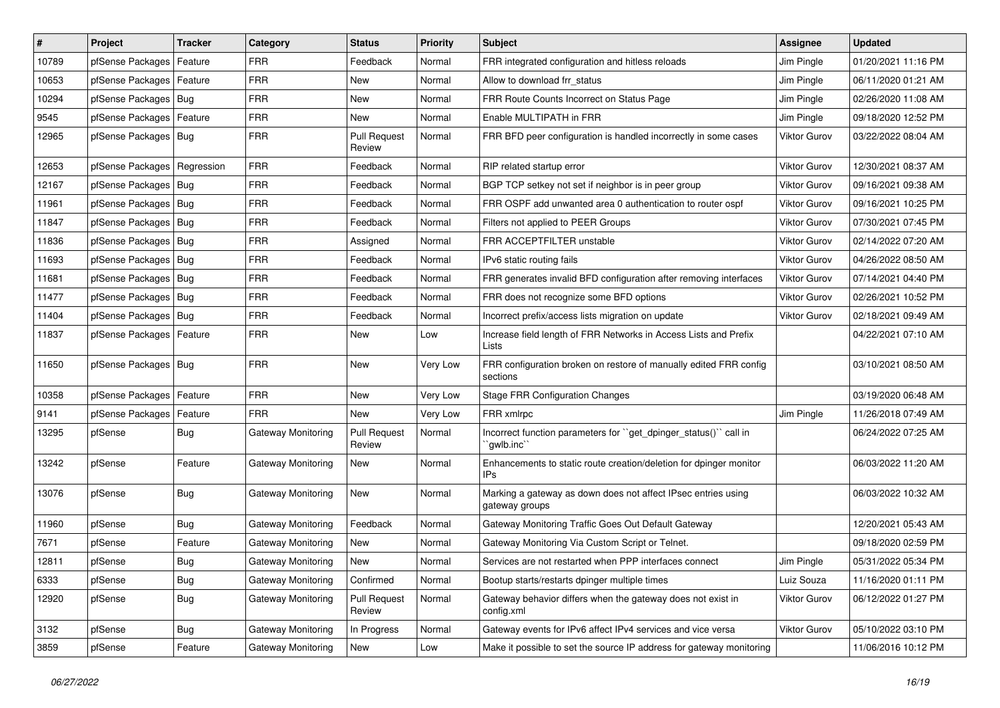| $\vert$ # | Project                       | <b>Tracker</b> | Category                  | <b>Status</b>                 | <b>Priority</b> | <b>Subject</b>                                                                  | <b>Assignee</b>     | <b>Updated</b>      |
|-----------|-------------------------------|----------------|---------------------------|-------------------------------|-----------------|---------------------------------------------------------------------------------|---------------------|---------------------|
| 10789     | pfSense Packages              | Feature        | FRR                       | Feedback                      | Normal          | FRR integrated configuration and hitless reloads                                | Jim Pingle          | 01/20/2021 11:16 PM |
| 10653     | pfSense Packages   Feature    |                | <b>FRR</b>                | New                           | Normal          | Allow to download frr_status                                                    | Jim Pingle          | 06/11/2020 01:21 AM |
| 10294     | pfSense Packages   Bug        |                | <b>FRR</b>                | New                           | Normal          | FRR Route Counts Incorrect on Status Page                                       | Jim Pingle          | 02/26/2020 11:08 AM |
| 9545      | pfSense Packages   Feature    |                | <b>FRR</b>                | New                           | Normal          | Enable MULTIPATH in FRR                                                         | Jim Pingle          | 09/18/2020 12:52 PM |
| 12965     | pfSense Packages   Bug        |                | <b>FRR</b>                | <b>Pull Request</b><br>Review | Normal          | FRR BFD peer configuration is handled incorrectly in some cases                 | Viktor Gurov        | 03/22/2022 08:04 AM |
| 12653     | pfSense Packages   Regression |                | <b>FRR</b>                | Feedback                      | Normal          | RIP related startup error                                                       | <b>Viktor Gurov</b> | 12/30/2021 08:37 AM |
| 12167     | pfSense Packages   Bug        |                | <b>FRR</b>                | Feedback                      | Normal          | BGP TCP setkey not set if neighbor is in peer group                             | Viktor Gurov        | 09/16/2021 09:38 AM |
| 11961     | pfSense Packages   Bug        |                | <b>FRR</b>                | Feedback                      | Normal          | FRR OSPF add unwanted area 0 authentication to router ospf                      | Viktor Gurov        | 09/16/2021 10:25 PM |
| 11847     | pfSense Packages   Bug        |                | <b>FRR</b>                | Feedback                      | Normal          | Filters not applied to PEER Groups                                              | <b>Viktor Gurov</b> | 07/30/2021 07:45 PM |
| 11836     | pfSense Packages   Bug        |                | <b>FRR</b>                | Assigned                      | Normal          | FRR ACCEPTFILTER unstable                                                       | Viktor Gurov        | 02/14/2022 07:20 AM |
| 11693     | pfSense Packages   Bug        |                | <b>FRR</b>                | Feedback                      | Normal          | IPv6 static routing fails                                                       | <b>Viktor Gurov</b> | 04/26/2022 08:50 AM |
| 11681     | pfSense Packages   Bug        |                | <b>FRR</b>                | Feedback                      | Normal          | FRR generates invalid BFD configuration after removing interfaces               | Viktor Gurov        | 07/14/2021 04:40 PM |
| 11477     | pfSense Packages   Bug        |                | <b>FRR</b>                | Feedback                      | Normal          | FRR does not recognize some BFD options                                         | <b>Viktor Gurov</b> | 02/26/2021 10:52 PM |
| 11404     | pfSense Packages   Bug        |                | <b>FRR</b>                | Feedback                      | Normal          | Incorrect prefix/access lists migration on update                               | <b>Viktor Gurov</b> | 02/18/2021 09:49 AM |
| 11837     | pfSense Packages   Feature    |                | <b>FRR</b>                | New                           | Low             | Increase field length of FRR Networks in Access Lists and Prefix<br>Lists       |                     | 04/22/2021 07:10 AM |
| 11650     | pfSense Packages   Bug        |                | <b>FRR</b>                | New                           | Very Low        | FRR configuration broken on restore of manually edited FRR config<br>sections   |                     | 03/10/2021 08:50 AM |
| 10358     | pfSense Packages   Feature    |                | <b>FRR</b>                | New                           | Very Low        | <b>Stage FRR Configuration Changes</b>                                          |                     | 03/19/2020 06:48 AM |
| 9141      | pfSense Packages   Feature    |                | <b>FRR</b>                | New                           | Very Low        | FRR xmlrpc                                                                      | Jim Pingle          | 11/26/2018 07:49 AM |
| 13295     | pfSense                       | <b>Bug</b>     | Gateway Monitoring        | <b>Pull Request</b><br>Review | Normal          | Incorrect function parameters for "get_dpinger_status()" call in<br>`gwlb.inc`  |                     | 06/24/2022 07:25 AM |
| 13242     | pfSense                       | Feature        | Gateway Monitoring        | New                           | Normal          | Enhancements to static route creation/deletion for dpinger monitor<br>IPs       |                     | 06/03/2022 11:20 AM |
| 13076     | pfSense                       | <b>Bug</b>     | Gateway Monitoring        | New                           | Normal          | Marking a gateway as down does not affect IPsec entries using<br>gateway groups |                     | 06/03/2022 10:32 AM |
| 11960     | pfSense                       | <b>Bug</b>     | Gateway Monitoring        | Feedback                      | Normal          | Gateway Monitoring Traffic Goes Out Default Gateway                             |                     | 12/20/2021 05:43 AM |
| 7671      | pfSense                       | Feature        | Gateway Monitoring        | New                           | Normal          | Gateway Monitoring Via Custom Script or Telnet.                                 |                     | 09/18/2020 02:59 PM |
| 12811     | pfSense                       | Bug            | Gateway Monitoring        | New                           | Normal          | Services are not restarted when PPP interfaces connect                          | Jim Pingle          | 05/31/2022 05:34 PM |
| 6333      | pfSense                       | Bug            | Gateway Monitoring        | Confirmed                     | Normal          | Bootup starts/restarts dpinger multiple times                                   | Luiz Souza          | 11/16/2020 01:11 PM |
| 12920     | pfSense                       | <b>Bug</b>     | Gateway Monitoring        | <b>Pull Request</b><br>Review | Normal          | Gateway behavior differs when the gateway does not exist in<br>config.xml       | Viktor Gurov        | 06/12/2022 01:27 PM |
| 3132      | pfSense                       | <b>Bug</b>     | Gateway Monitoring        | In Progress                   | Normal          | Gateway events for IPv6 affect IPv4 services and vice versa                     | <b>Viktor Gurov</b> | 05/10/2022 03:10 PM |
| 3859      | pfSense                       | Feature        | <b>Gateway Monitoring</b> | New                           | Low             | Make it possible to set the source IP address for gateway monitoring            |                     | 11/06/2016 10:12 PM |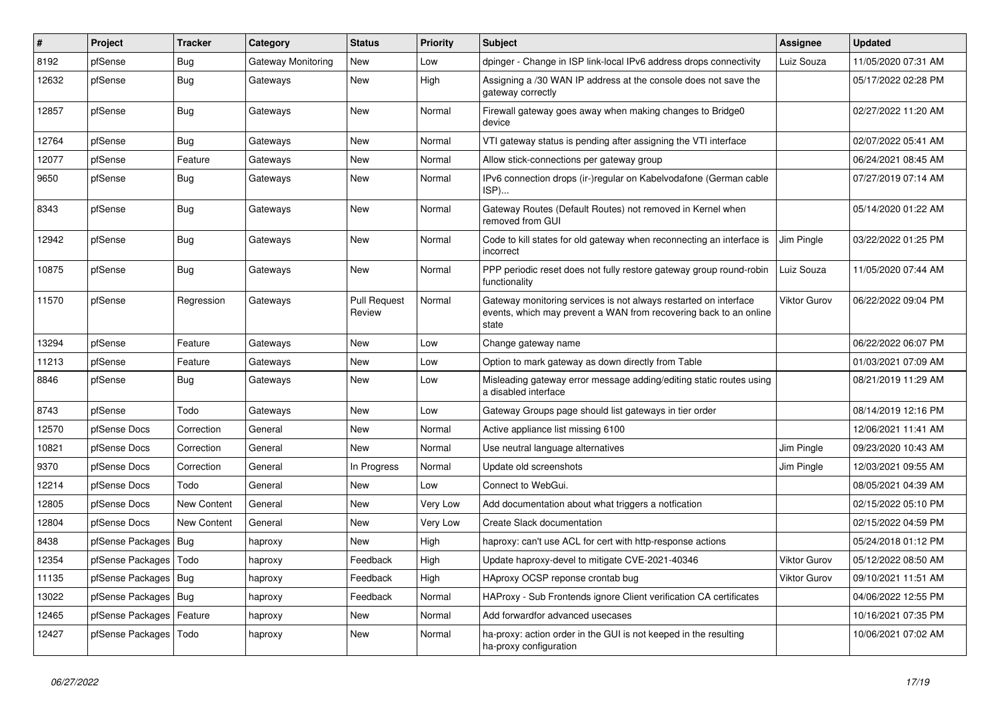| $\sharp$ | Project          | <b>Tracker</b>     | Category           | <b>Status</b>                 | <b>Priority</b> | <b>Subject</b>                                                                                                                                 | Assignee            | <b>Updated</b>      |
|----------|------------------|--------------------|--------------------|-------------------------------|-----------------|------------------------------------------------------------------------------------------------------------------------------------------------|---------------------|---------------------|
| 8192     | pfSense          | <b>Bug</b>         | Gateway Monitoring | <b>New</b>                    | Low             | dpinger - Change in ISP link-local IPv6 address drops connectivity                                                                             | Luiz Souza          | 11/05/2020 07:31 AM |
| 12632    | pfSense          | <b>Bug</b>         | Gateways           | <b>New</b>                    | High            | Assigning a /30 WAN IP address at the console does not save the<br>gateway correctly                                                           |                     | 05/17/2022 02:28 PM |
| 12857    | pfSense          | Bug                | Gateways           | <b>New</b>                    | Normal          | Firewall gateway goes away when making changes to Bridge0<br>device                                                                            |                     | 02/27/2022 11:20 AM |
| 12764    | pfSense          | Bug                | Gateways           | <b>New</b>                    | Normal          | VTI gateway status is pending after assigning the VTI interface                                                                                |                     | 02/07/2022 05:41 AM |
| 12077    | pfSense          | Feature            | Gateways           | <b>New</b>                    | Normal          | Allow stick-connections per gateway group                                                                                                      |                     | 06/24/2021 08:45 AM |
| 9650     | pfSense          | <b>Bug</b>         | Gateways           | <b>New</b>                    | Normal          | IPv6 connection drops (ir-)regular on Kabelvodafone (German cable<br>ISP)                                                                      |                     | 07/27/2019 07:14 AM |
| 8343     | pfSense          | <b>Bug</b>         | Gateways           | New                           | Normal          | Gateway Routes (Default Routes) not removed in Kernel when<br>removed from GUI                                                                 |                     | 05/14/2020 01:22 AM |
| 12942    | pfSense          | Bug                | Gateways           | New                           | Normal          | Code to kill states for old gateway when reconnecting an interface is<br>incorrect                                                             | Jim Pingle          | 03/22/2022 01:25 PM |
| 10875    | pfSense          | Bug                | Gateways           | <b>New</b>                    | Normal          | PPP periodic reset does not fully restore gateway group round-robin<br>functionality                                                           | Luiz Souza          | 11/05/2020 07:44 AM |
| 11570    | pfSense          | Regression         | Gateways           | <b>Pull Request</b><br>Review | Normal          | Gateway monitoring services is not always restarted on interface<br>events, which may prevent a WAN from recovering back to an online<br>state | <b>Viktor Gurov</b> | 06/22/2022 09:04 PM |
| 13294    | pfSense          | Feature            | Gateways           | New                           | Low             | Change gateway name                                                                                                                            |                     | 06/22/2022 06:07 PM |
| 11213    | pfSense          | Feature            | Gateways           | <b>New</b>                    | Low             | Option to mark gateway as down directly from Table                                                                                             |                     | 01/03/2021 07:09 AM |
| 8846     | pfSense          | Bug                | Gateways           | <b>New</b>                    | Low             | Misleading gateway error message adding/editing static routes using<br>a disabled interface                                                    |                     | 08/21/2019 11:29 AM |
| 8743     | pfSense          | Todo               | Gateways           | <b>New</b>                    | Low             | Gateway Groups page should list gateways in tier order                                                                                         |                     | 08/14/2019 12:16 PM |
| 12570    | pfSense Docs     | Correction         | General            | <b>New</b>                    | Normal          | Active appliance list missing 6100                                                                                                             |                     | 12/06/2021 11:41 AM |
| 10821    | pfSense Docs     | Correction         | General            | <b>New</b>                    | Normal          | Use neutral language alternatives                                                                                                              | Jim Pingle          | 09/23/2020 10:43 AM |
| 9370     | pfSense Docs     | Correction         | General            | In Progress                   | Normal          | Update old screenshots                                                                                                                         | Jim Pingle          | 12/03/2021 09:55 AM |
| 12214    | pfSense Docs     | Todo               | General            | <b>New</b>                    | Low             | Connect to WebGui.                                                                                                                             |                     | 08/05/2021 04:39 AM |
| 12805    | pfSense Docs     | New Content        | General            | New                           | Very Low        | Add documentation about what triggers a notfication                                                                                            |                     | 02/15/2022 05:10 PM |
| 12804    | pfSense Docs     | <b>New Content</b> | General            | <b>New</b>                    | Very Low        | Create Slack documentation                                                                                                                     |                     | 02/15/2022 04:59 PM |
| 8438     | pfSense Packages | Bug                | haproxy            | <b>New</b>                    | High            | haproxy: can't use ACL for cert with http-response actions                                                                                     |                     | 05/24/2018 01:12 PM |
| 12354    | pfSense Packages | Todo               | haproxy            | Feedback                      | High            | Update haproxy-devel to mitigate CVE-2021-40346                                                                                                | Viktor Gurov        | 05/12/2022 08:50 AM |
| 11135    | pfSense Packages | Bug                | haproxy            | Feedback                      | High            | HAproxy OCSP reponse crontab bug                                                                                                               | Viktor Gurov        | 09/10/2021 11:51 AM |
| 13022    | pfSense Packages | Bug                | haproxy            | Feedback                      | Normal          | HAProxy - Sub Frontends ignore Client verification CA certificates                                                                             |                     | 04/06/2022 12:55 PM |
| 12465    | pfSense Packages | Feature            | haproxy            | <b>New</b>                    | Normal          | Add forwardfor advanced usecases                                                                                                               |                     | 10/16/2021 07:35 PM |
| 12427    | pfSense Packages | Todo               | haproxy            | <b>New</b>                    | Normal          | ha-proxy: action order in the GUI is not keeped in the resulting<br>ha-proxy configuration                                                     |                     | 10/06/2021 07:02 AM |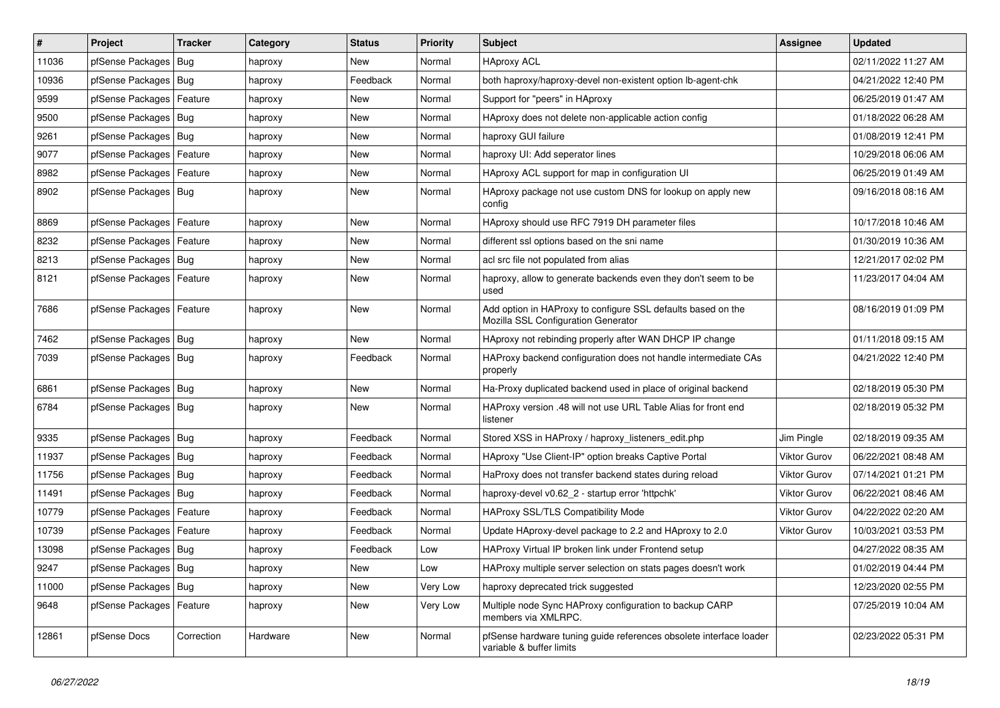| $\vert$ # | Project                    | <b>Tracker</b> | Category | <b>Status</b> | <b>Priority</b> | <b>Subject</b>                                                                                      | <b>Assignee</b>     | <b>Updated</b>      |
|-----------|----------------------------|----------------|----------|---------------|-----------------|-----------------------------------------------------------------------------------------------------|---------------------|---------------------|
| 11036     | pfSense Packages           | Bug            | haproxy  | New           | Normal          | <b>HAproxy ACL</b>                                                                                  |                     | 02/11/2022 11:27 AM |
| 10936     | pfSense Packages   Bug     |                | haproxy  | Feedback      | Normal          | both haproxy/haproxy-devel non-existent option lb-agent-chk                                         |                     | 04/21/2022 12:40 PM |
| 9599      | pfSense Packages           | Feature        | haproxy  | New           | Normal          | Support for "peers" in HAproxy                                                                      |                     | 06/25/2019 01:47 AM |
| 9500      | pfSense Packages   Bug     |                | haproxy  | New           | Normal          | HAproxy does not delete non-applicable action config                                                |                     | 01/18/2022 06:28 AM |
| 9261      | pfSense Packages   Bug     |                | haproxy  | <b>New</b>    | Normal          | haproxy GUI failure                                                                                 |                     | 01/08/2019 12:41 PM |
| 9077      | pfSense Packages           | Feature        | haproxy  | New           | Normal          | haproxy UI: Add seperator lines                                                                     |                     | 10/29/2018 06:06 AM |
| 8982      | pfSense Packages   Feature |                | haproxy  | New           | Normal          | HAproxy ACL support for map in configuration UI                                                     |                     | 06/25/2019 01:49 AM |
| 8902      | pfSense Packages   Bug     |                | haproxy  | New           | Normal          | HAproxy package not use custom DNS for lookup on apply new<br>config                                |                     | 09/16/2018 08:16 AM |
| 8869      | pfSense Packages   Feature |                | haproxy  | <b>New</b>    | Normal          | HAproxy should use RFC 7919 DH parameter files                                                      |                     | 10/17/2018 10:46 AM |
| 8232      | pfSense Packages   Feature |                | haproxy  | New           | Normal          | different ssl options based on the sni name                                                         |                     | 01/30/2019 10:36 AM |
| 8213      | pfSense Packages   Bug     |                | haproxy  | New           | Normal          | acl src file not populated from alias                                                               |                     | 12/21/2017 02:02 PM |
| 8121      | pfSense Packages   Feature |                | haproxy  | New           | Normal          | haproxy, allow to generate backends even they don't seem to be<br>used                              |                     | 11/23/2017 04:04 AM |
| 7686      | pfSense Packages   Feature |                | haproxy  | New           | Normal          | Add option in HAProxy to configure SSL defaults based on the<br>Mozilla SSL Configuration Generator |                     | 08/16/2019 01:09 PM |
| 7462      | pfSense Packages   Bug     |                | haproxy  | New           | Normal          | HAproxy not rebinding properly after WAN DHCP IP change                                             |                     | 01/11/2018 09:15 AM |
| 7039      | pfSense Packages   Bug     |                | haproxy  | Feedback      | Normal          | HAProxy backend configuration does not handle intermediate CAs<br>properly                          |                     | 04/21/2022 12:40 PM |
| 6861      | pfSense Packages   Bug     |                | haproxy  | <b>New</b>    | Normal          | Ha-Proxy duplicated backend used in place of original backend                                       |                     | 02/18/2019 05:30 PM |
| 6784      | pfSense Packages   Bug     |                | haproxy  | <b>New</b>    | Normal          | HAProxy version .48 will not use URL Table Alias for front end<br>listener                          |                     | 02/18/2019 05:32 PM |
| 9335      | pfSense Packages   Bug     |                | haproxy  | Feedback      | Normal          | Stored XSS in HAProxy / haproxy_listeners_edit.php                                                  | Jim Pingle          | 02/18/2019 09:35 AM |
| 11937     | pfSense Packages           | Bug            | haproxy  | Feedback      | Normal          | HAproxy "Use Client-IP" option breaks Captive Portal                                                | Viktor Gurov        | 06/22/2021 08:48 AM |
| 11756     | pfSense Packages   Bug     |                | haproxy  | Feedback      | Normal          | HaProxy does not transfer backend states during reload                                              | <b>Viktor Gurov</b> | 07/14/2021 01:21 PM |
| 11491     | pfSense Packages   Bug     |                | haproxy  | Feedback      | Normal          | haproxy-devel v0.62_2 - startup error 'httpchk'                                                     | <b>Viktor Gurov</b> | 06/22/2021 08:46 AM |
| 10779     | pfSense Packages   Feature |                | haproxy  | Feedback      | Normal          | HAProxy SSL/TLS Compatibility Mode                                                                  | Viktor Gurov        | 04/22/2022 02:20 AM |
| 10739     | pfSense Packages   Feature |                | haproxy  | Feedback      | Normal          | Update HAproxy-devel package to 2.2 and HAproxy to 2.0                                              | <b>Viktor Gurov</b> | 10/03/2021 03:53 PM |
| 13098     | pfSense Packages   Bug     |                | haproxy  | Feedback      | Low             | HAProxy Virtual IP broken link under Frontend setup                                                 |                     | 04/27/2022 08:35 AM |
| 9247      | pfSense Packages   Bug     |                | haproxy  | New           | Low             | HAProxy multiple server selection on stats pages doesn't work                                       |                     | 01/02/2019 04:44 PM |
| 11000     | pfSense Packages   Bug     |                | haproxy  | New           | Very Low        | haproxy deprecated trick suggested                                                                  |                     | 12/23/2020 02:55 PM |
| 9648      | pfSense Packages   Feature |                | haproxy  | New           | Very Low        | Multiple node Sync HAProxy configuration to backup CARP<br>members via XMLRPC.                      |                     | 07/25/2019 10:04 AM |
| 12861     | pfSense Docs               | Correction     | Hardware | New           | Normal          | pfSense hardware tuning guide references obsolete interface loader<br>variable & buffer limits      |                     | 02/23/2022 05:31 PM |